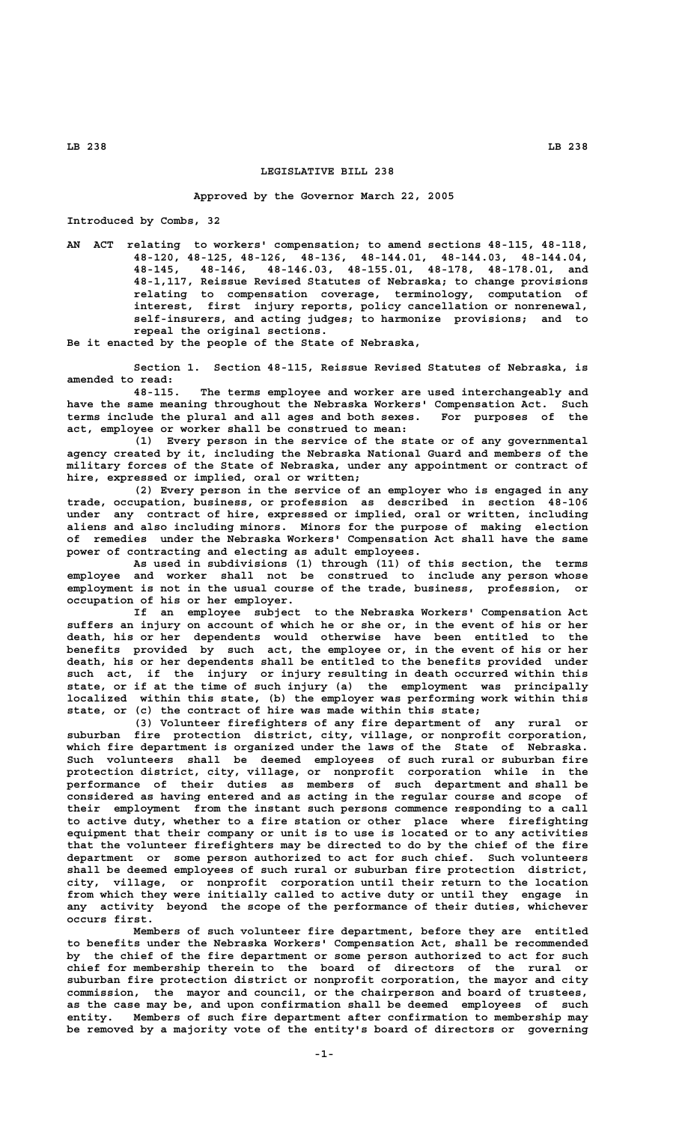# **LEGISLATIVE BILL 238**

#### **Approved by the Governor March 22, 2005**

**Introduced by Combs, 32**

**AN ACT relating to workers' compensation; to amend sections 48-115, 48-118, 48-120, 48-125, 48-126, 48-136, 48-144.01, 48-144.03, 48-144.04, 48-145, 48-146, 48-146.03, 48-155.01, 48-178, 48-178.01, and 48-1,117, Reissue Revised Statutes of Nebraska; to change provisions relating to compensation coverage, terminology, computation of interest, first injury reports, policy cancellation or nonrenewal, self-insurers, and acting judges; to harmonize provisions; and to repeal the original sections.**

**Be it enacted by the people of the State of Nebraska,**

**Section 1. Section 48-115, Reissue Revised Statutes of Nebraska, is amended to read:**

**48-115. The terms employee and worker are used interchangeably and have the same meaning throughout the Nebraska Workers' Compensation Act. Such terms include the plural and all ages and both sexes. For purposes of the act, employee or worker shall be construed to mean:**

**(1) Every person in the service of the state or of any governmental agency created by it, including the Nebraska National Guard and members of the military forces of the State of Nebraska, under any appointment or contract of hire, expressed or implied, oral or written;**

**(2) Every person in the service of an employer who is engaged in any trade, occupation, business, or profession as described in section 48-106 under any contract of hire, expressed or implied, oral or written, including aliens and also including minors. Minors for the purpose of making election of remedies under the Nebraska Workers' Compensation Act shall have the same power of contracting and electing as adult employees.**

**As used in subdivisions (1) through (11) of this section, the terms employee and worker shall not be construed to include any person whose employment is not in the usual course of the trade, business, profession, or occupation of his or her employer.**

**If an employee subject to the Nebraska Workers' Compensation Act suffers an injury on account of which he or she or, in the event of his or her death, his or her dependents would otherwise have been entitled to the benefits provided by such act, the employee or, in the event of his or her death, his or her dependents shall be entitled to the benefits provided under such act, if the injury or injury resulting in death occurred within this state, or if at the time of such injury (a) the employment was principally localized within this state, (b) the employer was performing work within this state, or (c) the contract of hire was made within this state;**

**(3) Volunteer firefighters of any fire department of any rural or suburban fire protection district, city, village, or nonprofit corporation, which fire department is organized under the laws of the State of Nebraska. Such volunteers shall be deemed employees of such rural or suburban fire protection district, city, village, or nonprofit corporation while in the performance of their duties as members of such department and shall be considered as having entered and as acting in the regular course and scope of their employment from the instant such persons commence responding to a call to active duty, whether to a fire station or other place where firefighting equipment that their company or unit is to use is located or to any activities that the volunteer firefighters may be directed to do by the chief of the fire department or some person authorized to act for such chief. Such volunteers shall be deemed employees of such rural or suburban fire protection district, city, village, or nonprofit corporation until their return to the location from which they were initially called to active duty or until they engage in any activity beyond the scope of the performance of their duties, whichever occurs first.**

**Members of such volunteer fire department, before they are entitled to benefits under the Nebraska Workers' Compensation Act, shall be recommended by the chief of the fire department or some person authorized to act for such chief for membership therein to the board of directors of the rural or suburban fire protection district or nonprofit corporation, the mayor and city commission, the mayor and council, or the chairperson and board of trustees, as the case may be, and upon confirmation shall be deemed employees of such entity. Members of such fire department after confirmation to membership may be removed by a majority vote of the entity's board of directors or governing**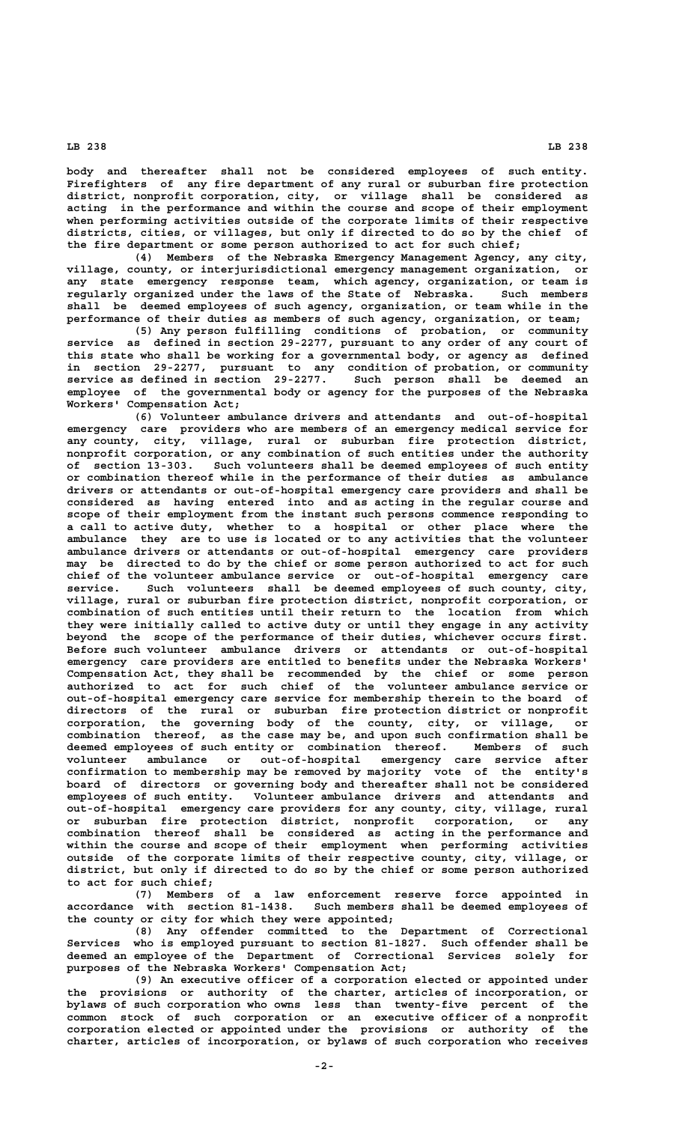**body and thereafter shall not be considered employees of such entity. Firefighters of any fire department of any rural or suburban fire protection district, nonprofit corporation, city, or village shall be considered as acting in the performance and within the course and scope of their employment when performing activities outside of the corporate limits of their respective districts, cities, or villages, but only if directed to do so by the chief of the fire department or some person authorized to act for such chief;**

**(4) Members of the Nebraska Emergency Management Agency, any city, village, county, or interjurisdictional emergency management organization, or any state emergency response team, which agency, organization, or team is regularly organized under the laws of the State of Nebraska. Such members shall be deemed employees of such agency, organization, or team while in the performance of their duties as members of such agency, organization, or team;**

**(5) Any person fulfilling conditions of probation, or community service as defined in section 29-2277, pursuant to any order of any court of this state who shall be working for a governmental body, or agency as defined in section 29-2277, pursuant to any condition of probation, or community service as defined in section 29-2277. Such person shall be deemed an employee of the governmental body or agency for the purposes of the Nebraska Workers' Compensation Act;**

**(6) Volunteer ambulance drivers and attendants and out-of-hospital emergency care providers who are members of an emergency medical service for any county, city, village, rural or suburban fire protection district, nonprofit corporation, or any combination of such entities under the authority of section 13-303. Such volunteers shall be deemed employees of such entity or combination thereof while in the performance of their duties as ambulance drivers or attendants or out-of-hospital emergency care providers and shall be considered as having entered into and as acting in the regular course and scope of their employment from the instant such persons commence responding to a call to active duty, whether to a hospital or other place where the ambulance they are to use is located or to any activities that the volunteer ambulance drivers or attendants or out-of-hospital emergency care providers may be directed to do by the chief or some person authorized to act for such chief of the volunteer ambulance service or out-of-hospital emergency care service. Such volunteers shall be deemed employees of such county, city, village, rural or suburban fire protection district, nonprofit corporation, or combination of such entities until their return to the location from which they were initially called to active duty or until they engage in any activity beyond the scope of the performance of their duties, whichever occurs first. Before such volunteer ambulance drivers or attendants or out-of-hospital emergency care providers are entitled to benefits under the Nebraska Workers' Compensation Act, they shall be recommended by the chief or some person authorized to act for such chief of the volunteer ambulance service or out-of-hospital emergency care service for membership therein to the board of directors of the rural or suburban fire protection district or nonprofit corporation, the governing body of the county, city, or village, or combination thereof, as the case may be, and upon such confirmation shall be deemed employees of such entity or combination thereof. Members of such volunteer ambulance or out-of-hospital emergency care service after confirmation to membership may be removed by majority vote of the entity's board of directors or governing body and thereafter shall not be considered employees of such entity. Volunteer ambulance drivers and attendants and out-of-hospital emergency care providers for any county, city, village, rural or suburban fire protection district, nonprofit corporation, or any combination thereof shall be considered as acting in the performance and within the course and scope of their employment when performing activities outside of the corporate limits of their respective county, city, village, or district, but only if directed to do so by the chief or some person authorized to act for such chief;**

**(7) Members of a law enforcement reserve force appointed in accordance with section 81-1438. Such members shall be deemed employees of the county or city for which they were appointed;**

**(8) Any offender committed to the Department of Correctional Services who is employed pursuant to section 81-1827. Such offender shall be deemed an employee of the Department of Correctional Services solely for purposes of the Nebraska Workers' Compensation Act;**

**(9) An executive officer of a corporation elected or appointed under the provisions or authority of the charter, articles of incorporation, or bylaws of such corporation who owns less than twenty-five percent of the common stock of such corporation or an executive officer of a nonprofit corporation elected or appointed under the provisions or authority of the charter, articles of incorporation, or bylaws of such corporation who receives**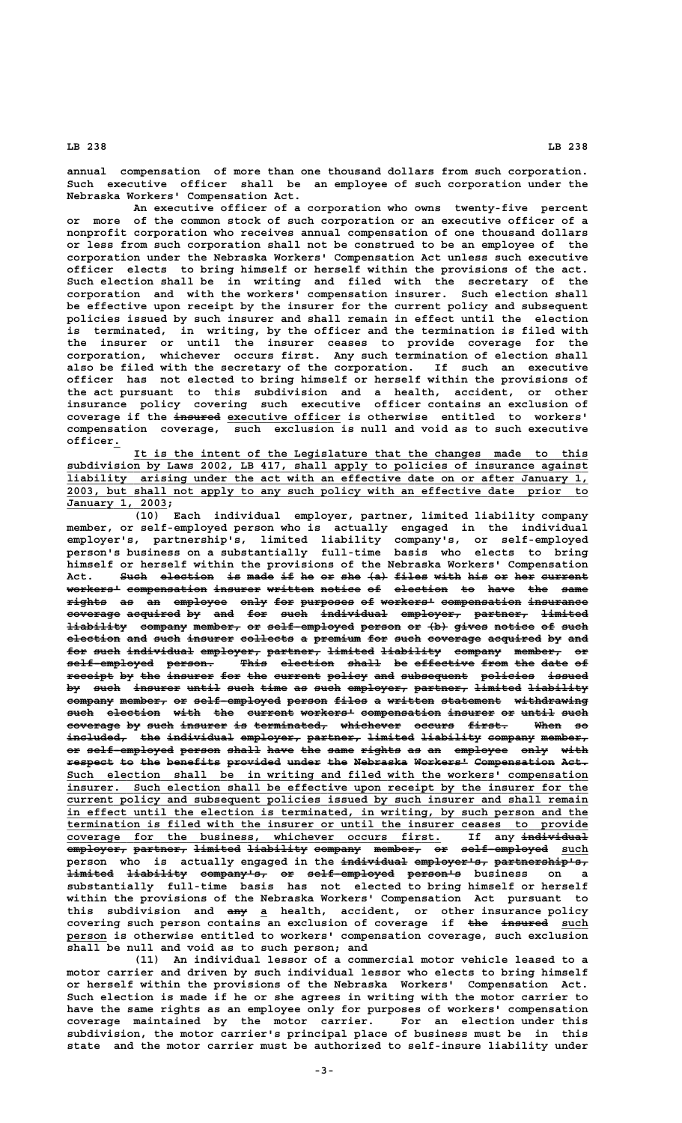**annual compensation of more than one thousand dollars from such corporation. Such executive officer shall be an employee of such corporation under the Nebraska Workers' Compensation Act.**

**An executive officer of a corporation who owns twenty-five percent or more of the common stock of such corporation or an executive officer of a nonprofit corporation who receives annual compensation of one thousand dollars or less from such corporation shall not be construed to be an employee of the corporation under the Nebraska Workers' Compensation Act unless such executive officer elects to bring himself or herself within the provisions of the act. Such election shall be in writing and filed with the secretary of the corporation and with the workers' compensation insurer. Such election shall be effective upon receipt by the insurer for the current policy and subsequent policies issued by such insurer and shall remain in effect until the election is terminated, in writing, by the officer and the termination is filed with the insurer or until the insurer ceases to provide coverage for the corporation, whichever occurs first. Any such termination of election shall also be filed with the secretary of the corporation. If such an executive officer has not elected to bring himself or herself within the provisions of the act pursuant to this subdivision and a health, accident, or other insurance policy covering such executive officer contains an exclusion of ——————— \_\_\_\_\_\_\_\_\_\_\_\_\_\_\_\_\_ coverage if the insured executive officer is otherwise entitled to workers' compensation coverage, such exclusion is null and void as to such executive officer. \_**

 **\_\_\_\_\_\_\_\_\_\_\_\_\_\_\_\_\_\_\_\_\_\_\_\_\_\_\_\_\_\_\_\_\_\_\_\_\_\_\_\_\_\_\_\_\_\_\_\_\_\_\_\_\_\_\_\_\_\_\_\_\_\_\_\_\_\_\_\_ It is the intent of the Legislature that the changes made to this \_\_\_\_\_\_\_\_\_\_\_\_\_\_\_\_\_\_\_\_\_\_\_\_\_\_\_\_\_\_\_\_\_\_\_\_\_\_\_\_\_\_\_\_\_\_\_\_\_\_\_\_\_\_\_\_\_\_\_\_\_\_\_\_\_\_\_\_\_\_\_\_\_\_\_\_\_\_ subdivision by Laws 2002, LB 417, shall apply to policies of insurance against \_\_\_\_\_\_\_\_\_\_\_\_\_\_\_\_\_\_\_\_\_\_\_\_\_\_\_\_\_\_\_\_\_\_\_\_\_\_\_\_\_\_\_\_\_\_\_\_\_\_\_\_\_\_\_\_\_\_\_\_\_\_\_\_\_\_\_\_\_\_\_\_\_\_\_\_\_\_ liability arising under the act with an effective date on or after January 1, \_\_\_\_\_\_\_\_\_\_\_\_\_\_\_\_\_\_\_\_\_\_\_\_\_\_\_\_\_\_\_\_\_\_\_\_\_\_\_\_\_\_\_\_\_\_\_\_\_\_\_\_\_\_\_\_\_\_\_\_\_\_\_\_\_\_\_\_\_\_\_\_\_\_\_\_\_\_ 2003, but shall not apply to any such policy with an effective date prior to \_\_\_\_\_\_\_\_\_\_\_\_\_\_\_ January 1, 2003;**

**(10) Each individual employer, partner, limited liability company member, or self-employed person who is actually engaged in the individual employer's, partnership's, limited liability company's, or self-employed person's business on a substantially full-time basis who elects to bring himself or herself within the provisions of the Nebraska Workers' Compensation** Act. Such election is made if he or she (a) files with his or her current  ${\tt worker}$  compensation insurer written notice of election to have the same  $\texttt{rights}$  as an employee only for purposes of workers<sup>1</sup> compensation insurance coverage acquired by and for such individual employer, partner, limited  $\frac{1}{2}$  iability company member, or self-employed person or  $\{b\}$  gives notice of such election and such insurer collects a premium for such coverage acquired by and for such individual employer, partner, limited liability company member, or  $\texttt{self-employed}$  person. This election shall be effective from the date of receipt by the insurer for the current policy and subsequent policies issued by such insurer until such time as such employer, partner, limited liability company member, or self-employed person files a written statement withdrawing  $\frac{1}{\sqrt{2}}$  auch election with the current workers<sup>1</sup> compensation insurer or until such **coverage by such insurer is terminated, whichever occurs first. When so ———————— —— ———— ——————— —— ——————————— ————————— —————— —————— ———— —** included, the individual employer, partner, limited liability company member, or self-employed person shall have the same rights as an employee only with respect to the benefits provided under the Nebraska Workers<sup>1</sup> Compensation Act. Such election shall be in writing and filed with the workers' compensation insurer. Such election shall be effective upon receipt by the insurer for the  **\_\_\_\_\_\_\_\_\_\_\_\_\_\_\_\_\_\_\_\_\_\_\_\_\_\_\_\_\_\_\_\_\_\_\_\_\_\_\_\_\_\_\_\_\_\_\_\_\_\_\_\_\_\_\_\_\_\_\_\_\_\_\_\_\_\_\_\_\_\_\_\_\_\_\_\_\_\_ current policy and subsequent policies issued by such insurer and shall remain \_\_\_\_\_\_\_\_\_\_\_\_\_\_\_\_\_\_\_\_\_\_\_\_\_\_\_\_\_\_\_\_\_\_\_\_\_\_\_\_\_\_\_\_\_\_\_\_\_\_\_\_\_\_\_\_\_\_\_\_\_\_\_\_\_\_\_\_\_\_\_\_\_\_\_\_\_\_ in effect until the election is terminated, in writing, by such person and the \_\_\_\_\_\_\_\_\_\_\_\_\_\_\_\_\_\_\_\_\_\_\_\_\_\_\_\_\_\_\_\_\_\_\_\_\_\_\_\_\_\_\_\_\_\_\_\_\_\_\_\_\_\_\_\_\_\_\_\_\_\_\_\_\_\_\_\_\_\_\_\_\_\_\_\_\_\_ termination is filed with the insurer or until the insurer ceases to provide \_\_\_\_\_\_\_\_\_\_\_\_\_\_\_\_\_\_\_\_\_\_\_\_\_\_\_\_\_\_\_\_\_\_\_\_\_\_\_\_\_\_\_\_\_\_\_\_\_\_\_\_\_\_\_\_ —————————— coverage for the business, whichever occurs first. If any individual**  $\overline{\text{emplayer}}$  partner, limited liability company member, or self-employed such person who is actually engaged in the individual employer's, partnership's,  $\frac{1 \texttt{imited}}{1 \texttt{infted}}$   $\frac{1 \texttt{inbity}}{1 \texttt{infted}}$   $\frac{1 \texttt{infted}}{1 \texttt{infted}}$   $\frac{1 \texttt{infted}}{1 \texttt{infted}}$   $\frac{1 \texttt{infted}}{1 \texttt{infted}}$ **substantially full-time basis has not elected to bring himself or herself within the provisions of the Nebraska Workers' Compensation Act pursuant to ——— \_ this subdivision and any a health, accident, or other insurance policy covering such person contains an exclusion of coverage if the insured such ——— ——————— \_\_\_\_ \_\_\_\_\_\_ person is otherwise entitled to workers' compensation coverage, such exclusion shall be null and void as to such person; and**

> **(11) An individual lessor of a commercial motor vehicle leased to a motor carrier and driven by such individual lessor who elects to bring himself or herself within the provisions of the Nebraska Workers' Compensation Act. Such election is made if he or she agrees in writing with the motor carrier to have the same rights as an employee only for purposes of workers' compensation coverage maintained by the motor carrier. For an election under this subdivision, the motor carrier's principal place of business must be in this state and the motor carrier must be authorized to self-insure liability under**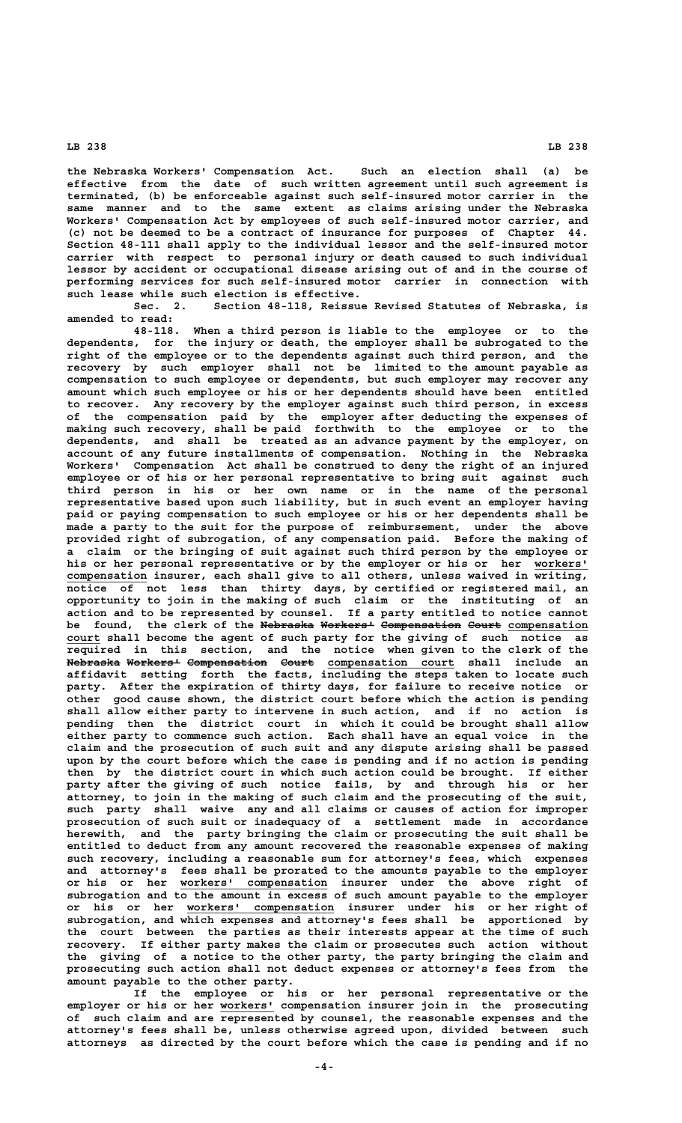**the Nebraska Workers' Compensation Act. Such an election shall (a) be effective from the date of such written agreement until such agreement is terminated, (b) be enforceable against such self-insured motor carrier in the same manner and to the same extent as claims arising under the Nebraska Workers' Compensation Act by employees of such self-insured motor carrier, and (c) not be deemed to be a contract of insurance for purposes of Chapter 44. Section 48-111 shall apply to the individual lessor and the self-insured motor carrier with respect to personal injury or death caused to such individual lessor by accident or occupational disease arising out of and in the course of performing services for such self-insured motor carrier in connection with**

**such lease while such election is effective. Sec. 2. Section 48-118, Reissue Revised Statutes of Nebraska, is amended to read:**

**48-118. When a third person is liable to the employee or to the dependents, for the injury or death, the employer shall be subrogated to the right of the employee or to the dependents against such third person, and the recovery by such employer shall not be limited to the amount payable as compensation to such employee or dependents, but such employer may recover any amount which such employee or his or her dependents should have been entitled to recover. Any recovery by the employer against such third person, in excess of the compensation paid by the employer after deducting the expenses of making such recovery, shall be paid forthwith to the employee or to the dependents, and shall be treated as an advance payment by the employer, on account of any future installments of compensation. Nothing in the Nebraska Workers' Compensation Act shall be construed to deny the right of an injured employee or of his or her personal representative to bring suit against such third person in his or her own name or in the name of the personal representative based upon such liability, but in such event an employer having paid or paying compensation to such employee or his or her dependents shall be made a party to the suit for the purpose of reimbursement, under the above provided right of subrogation, of any compensation paid. Before the making of a claim or the bringing of suit against such third person by the employee or** his or her personal representative or by the employer or his or her workers'  **\_\_\_\_\_\_\_\_\_\_\_\_ compensation insurer, each shall give to all others, unless waived in writing, notice of not less than thirty days, by certified or registered mail, an opportunity to join in the making of such claim or the instituting of an action and to be represented by counsel. If a party entitled to notice cannot** be found, the clerk of the Nebraska Workers<sup>1</sup> Compensation Court compensation court shall become the agent of such party for the giving of such notice as **required in this section, and the notice when given to the clerk of the** <del>Nebraska Workers' Compensation Court</del> compensation court shall include an **affidavit setting forth the facts, including the steps taken to locate such party. After the expiration of thirty days, for failure to receive notice or other good cause shown, the district court before which the action is pending shall allow either party to intervene in such action, and if no action is pending then the district court in which it could be brought shall allow either party to commence such action. Each shall have an equal voice in the claim and the prosecution of such suit and any dispute arising shall be passed upon by the court before which the case is pending and if no action is pending then by the district court in which such action could be brought. If either party after the giving of such notice fails, by and through his or her attorney, to join in the making of such claim and the prosecuting of the suit, such party shall waive any and all claims or causes of action for improper prosecution of such suit or inadequacy of a settlement made in accordance herewith, and the party bringing the claim or prosecuting the suit shall be entitled to deduct from any amount recovered the reasonable expenses of making such recovery, including a reasonable sum for attorney's fees, which expenses and attorney's fees shall be prorated to the amounts payable to the employer \_\_\_\_\_\_\_\_\_\_\_\_\_\_\_\_\_\_\_\_\_\_ or his or her workers' compensation insurer under the above right of subrogation and to the amount in excess of such amount payable to the employer \_\_\_\_\_\_\_\_\_\_\_\_\_\_\_\_\_\_\_\_\_\_ or his or her workers' compensation insurer under his or her right of subrogation, and which expenses and attorney's fees shall be apportioned by the court between the parties as their interests appear at the time of such recovery. If either party makes the claim or prosecutes such action without the giving of a notice to the other party, the party bringing the claim and prosecuting such action shall not deduct expenses or attorney's fees from the amount payable to the other party.**

**If the employee or his or her personal representative or the** employer or his or her workers' compensation insurer join in the prosecuting **of such claim and are represented by counsel, the reasonable expenses and the attorney's fees shall be, unless otherwise agreed upon, divided between such attorneys as directed by the court before which the case is pending and if no**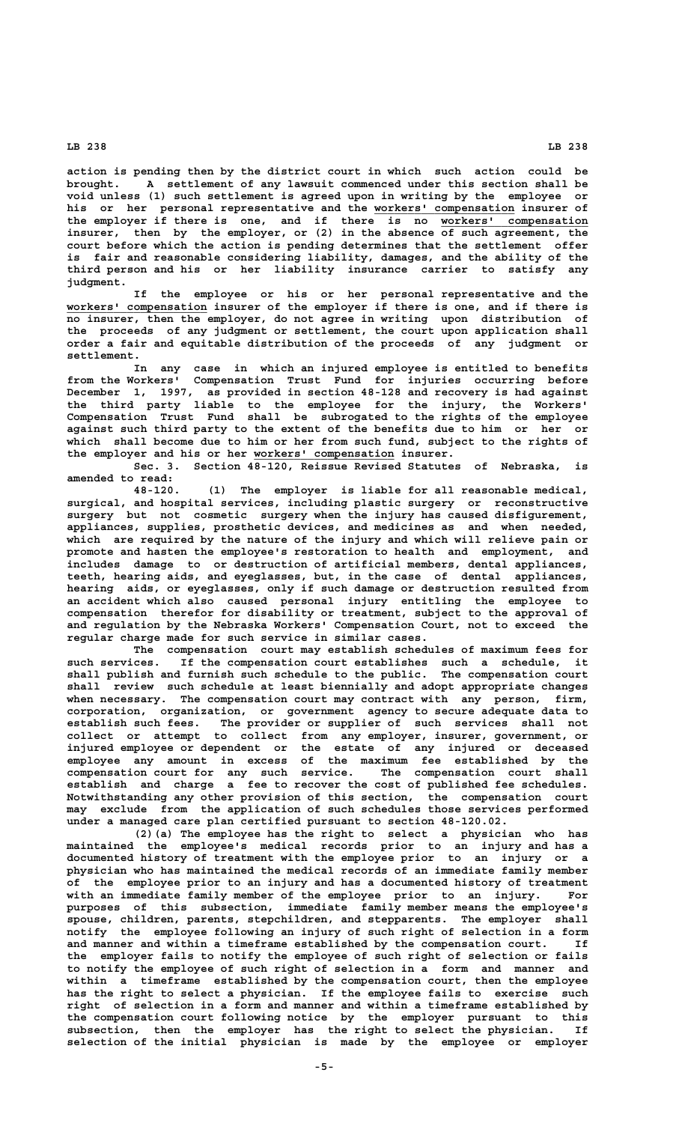**action is pending then by the district court in which such action could be brought. A settlement of any lawsuit commenced under this section shall be void unless (1) such settlement is agreed upon in writing by the employee or his or her personal representative and the workers' compensation insurer of \_\_\_\_\_\_\_\_\_\_\_\_\_\_\_\_\_\_\_\_\_** the employer if there is one, and if there is no workers' compensation **insurer, then by the employer, or (2) in the absence of such agreement, the court before which the action is pending determines that the settlement offer is fair and reasonable considering liability, damages, and the ability of the third person and his or her liability insurance carrier to satisfy any judgment.**

**If the employee or his or her personal representative and the \_\_\_\_\_\_\_\_\_\_\_\_\_\_\_\_\_\_\_\_\_ workers' compensation insurer of the employer if there is one, and if there is no insurer, then the employer, do not agree in writing upon distribution of the proceeds of any judgment or settlement, the court upon application shall order a fair and equitable distribution of the proceeds of any judgment or settlement.**

**In any case in which an injured employee is entitled to benefits from the Workers' Compensation Trust Fund for injuries occurring before December 1, 1997, as provided in section 48-128 and recovery is had against the third party liable to the employee for the injury, the Workers' Compensation Trust Fund shall be subrogated to the rights of the employee against such third party to the extent of the benefits due to him or her or which shall become due to him or her from such fund, subject to the rights of \_\_\_\_\_\_\_\_\_\_\_\_\_\_\_\_\_\_\_\_\_ the employer and his or her workers' compensation insurer.**

**Sec. 3. Section 48-120, Reissue Revised Statutes of Nebraska, is amended to read:**

**48-120. (1) The employer is liable for all reasonable medical, surgical, and hospital services, including plastic surgery or reconstructive surgery but not cosmetic surgery when the injury has caused disfigurement, appliances, supplies, prosthetic devices, and medicines as and when needed, which are required by the nature of the injury and which will relieve pain or promote and hasten the employee's restoration to health and employment, and includes damage to or destruction of artificial members, dental appliances, teeth, hearing aids, and eyeglasses, but, in the case of dental appliances, hearing aids, or eyeglasses, only if such damage or destruction resulted from an accident which also caused personal injury entitling the employee to compensation therefor for disability or treatment, subject to the approval of and regulation by the Nebraska Workers' Compensation Court, not to exceed the regular charge made for such service in similar cases.**

**The compensation court may establish schedules of maximum fees for such services. If the compensation court establishes such a schedule, it shall publish and furnish such schedule to the public. The compensation court shall review such schedule at least biennially and adopt appropriate changes when necessary. The compensation court may contract with any person, firm, corporation, organization, or government agency to secure adequate data to establish such fees. The provider or supplier of such services shall not collect or attempt to collect from any employer, insurer, government, or injured employee or dependent or the estate of any injured or deceased employee any amount in excess of the maximum fee established by the compensation court for any such service. The compensation court shall establish and charge a fee to recover the cost of published fee schedules. Notwithstanding any other provision of this section, the compensation court may exclude from the application of such schedules those services performed under a managed care plan certified pursuant to section 48-120.02.**

**(2)(a) The employee has the right to select a physician who has maintained the employee's medical records prior to an injury and has a documented history of treatment with the employee prior to an injury or a physician who has maintained the medical records of an immediate family member of the employee prior to an injury and has a documented history of treatment with an immediate family member of the employee prior to an injury. For purposes of this subsection, immediate family member means the employee's spouse, children, parents, stepchildren, and stepparents. The employer shall notify the employee following an injury of such right of selection in a form and manner and within a timeframe established by the compensation court. If the employer fails to notify the employee of such right of selection or fails to notify the employee of such right of selection in a form and manner and within a timeframe established by the compensation court, then the employee has the right to select a physician. If the employee fails to exercise such right of selection in a form and manner and within a timeframe established by the compensation court following notice by the employer pursuant to this subsection, then the employer has the right to select the physician. If selection of the initial physician is made by the employee or employer**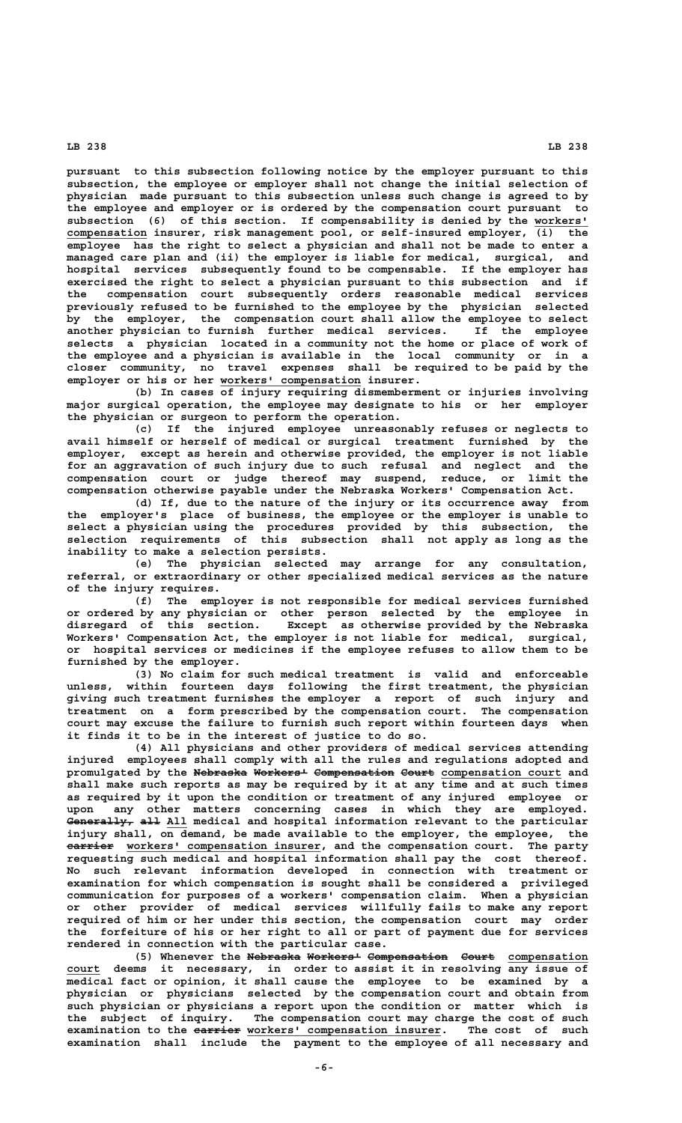**pursuant to this subsection following notice by the employer pursuant to this subsection, the employee or employer shall not change the initial selection of physician made pursuant to this subsection unless such change is agreed to by the employee and employer or is ordered by the compensation court pursuant to subsection (6) of this section. If compensability is denied by the workers' \_\_\_\_\_\_\_\_ \_\_\_\_\_\_\_\_\_\_\_\_ compensation insurer, risk management pool, or self-insured employer, (i) the employee has the right to select a physician and shall not be made to enter a managed care plan and (ii) the employer is liable for medical, surgical, and hospital services subsequently found to be compensable. If the employer has exercised the right to select a physician pursuant to this subsection and if the compensation court subsequently orders reasonable medical services previously refused to be furnished to the employee by the physician selected by the employer, the compensation court shall allow the employee to select another physician to furnish further medical services. If the employee selects a physician located in a community not the home or place of work of the employee and a physician is available in the local community or in a closer community, no travel expenses shall be required to be paid by the \_\_\_\_\_\_\_\_\_\_\_\_\_\_\_\_\_\_\_\_\_ employer or his or her workers' compensation insurer.**

**(b) In cases of injury requiring dismemberment or injuries involving major surgical operation, the employee may designate to his or her employer the physician or surgeon to perform the operation.**

**(c) If the injured employee unreasonably refuses or neglects to avail himself or herself of medical or surgical treatment furnished by the employer, except as herein and otherwise provided, the employer is not liable for an aggravation of such injury due to such refusal and neglect and the compensation court or judge thereof may suspend, reduce, or limit the compensation otherwise payable under the Nebraska Workers' Compensation Act.**

**(d) If, due to the nature of the injury or its occurrence away from the employer's place of business, the employee or the employer is unable to select a physician using the procedures provided by this subsection, the selection requirements of this subsection shall not apply as long as the inability to make a selection persists.**

**(e) The physician selected may arrange for any consultation, referral, or extraordinary or other specialized medical services as the nature of the injury requires.**

**(f) The employer is not responsible for medical services furnished or ordered by any physician or other person selected by the employee in** Except as otherwise provided by the Nebraska **Workers' Compensation Act, the employer is not liable for medical, surgical, or hospital services or medicines if the employee refuses to allow them to be furnished by the employer.**

**(3) No claim for such medical treatment is valid and enforceable unless, within fourteen days following the first treatment, the physician giving such treatment furnishes the employer a report of such injury and treatment on a form prescribed by the compensation court. The compensation court may excuse the failure to furnish such report within fourteen days when it finds it to be in the interest of justice to do so.**

**(4) All physicians and other providers of medical services attending injured employees shall comply with all the rules and regulations adopted and promulgated by the Nebraska Workers' Compensation Court compensation court and ———————— ———————— ———————————— ————— \_\_\_\_\_\_\_\_\_\_\_\_\_\_\_\_\_\_ shall make such reports as may be required by it at any time and at such times as required by it upon the condition or treatment of any injured employee or upon any other matters concerning cases in which they are employed. Generally, all All medical and hospital information relevant to the particular —————————— ——— \_\_\_ injury shall, on demand, be made available to the employer, the employee, the**  $a$ <sup>2</sup> **2** *earrier* workers' compensation insurer, and the compensation court. The party **requesting such medical and hospital information shall pay the cost thereof. No such relevant information developed in connection with treatment or examination for which compensation is sought shall be considered a privileged communication for purposes of a workers' compensation claim. When a physician or other provider of medical services willfully fails to make any report required of him or her under this section, the compensation court may order the forfeiture of his or her right to all or part of payment due for services rendered in connection with the particular case.**

(5) Whenever the Nebraska Workers<sup>1</sup> Compensation Court compensation  **\_\_\_\_\_ court deems it necessary, in order to assist it in resolving any issue of medical fact or opinion, it shall cause the employee to be examined by a physician or physicians selected by the compensation court and obtain from such physician or physicians a report upon the condition or matter which is the subject of inquiry. The compensation court may charge the cost of such** examination to the earrier workers' compensation insurer. The cost of such **examination shall include the payment to the employee of all necessary and**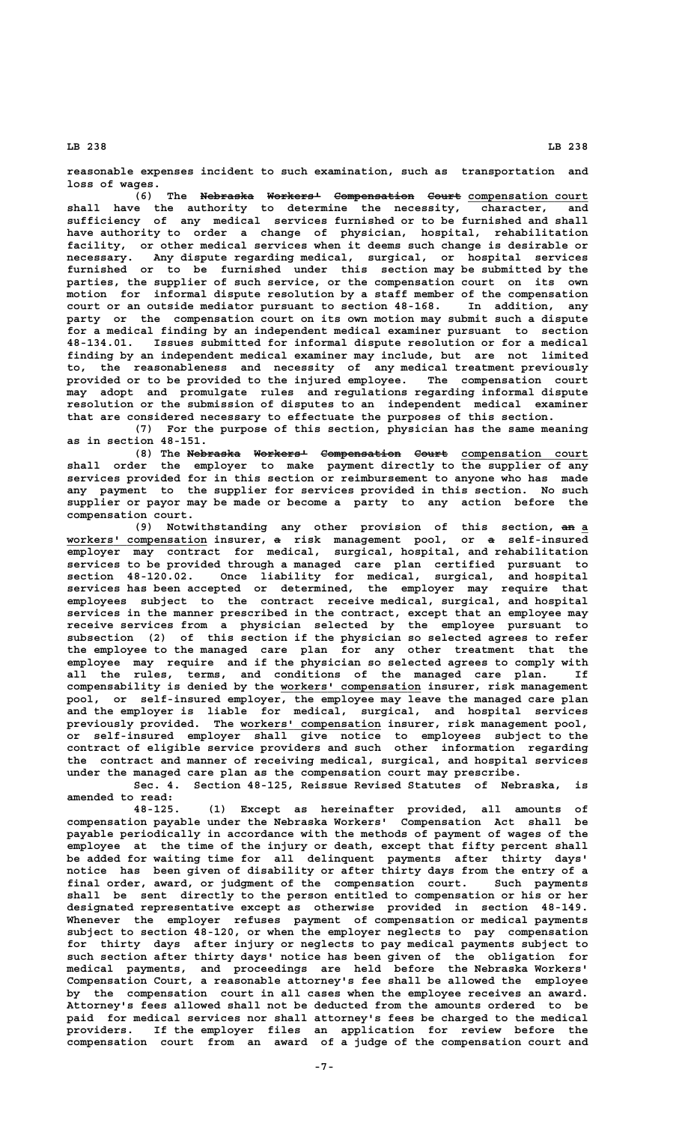**reasonable expenses incident to such examination, such as transportation and loss of wages.**

**(6)** The Nebraska Workers<sup>1</sup> Compensation Court compensation court **shall have the authority to determine the necessity, character, and sufficiency of any medical services furnished or to be furnished and shall have authority to order a change of physician, hospital, rehabilitation facility, or other medical services when it deems such change is desirable or necessary. Any dispute regarding medical, surgical, or hospital services furnished or to be furnished under this section may be submitted by the parties, the supplier of such service, or the compensation court on its own motion for informal dispute resolution by a staff member of the compensation court or an outside mediator pursuant to section 48-168. In addition, any party or the compensation court on its own motion may submit such a dispute for a medical finding by an independent medical examiner pursuant to section 48-134.01. Issues submitted for informal dispute resolution or for a medical finding by an independent medical examiner may include, but are not limited to, the reasonableness and necessity of any medical treatment previously provided or to be provided to the injured employee. The compensation court may adopt and promulgate rules and regulations regarding informal dispute resolution or the submission of disputes to an independent medical examiner that are considered necessary to effectuate the purposes of this section.**

**(7) For the purpose of this section, physician has the same meaning as in section 48-151.**

(8) The Nebraska Workers<sup>1</sup> Compensation Court compensation court **shall order the employer to make payment directly to the supplier of any services provided for in this section or reimbursement to anyone who has made any payment to the supplier for services provided in this section. No such supplier or payor may be made or become a party to any action before the compensation court.**

(9) Notwithstanding any other provision of this section, an a  **\_\_\_\_\_\_\_\_\_\_\_\_\_\_\_\_\_\_\_\_\_ — — workers' compensation insurer, a risk management pool, or a self-insured employer may contract for medical, surgical, hospital, and rehabilitation services to be provided through a managed care plan certified pursuant to section 48-120.02. Once liability for medical, surgical, and hospital services has been accepted or determined, the employer may require that employees subject to the contract receive medical, surgical, and hospital services in the manner prescribed in the contract, except that an employee may receive services from a physician selected by the employee pursuant to subsection (2) of this section if the physician so selected agrees to refer the employee to the managed care plan for any other treatment that the employee may require and if the physician so selected agrees to comply with all the rules, terms, and conditions of the managed care plan. If \_\_\_\_\_\_\_\_\_\_\_\_\_\_\_\_\_\_\_\_\_ compensability is denied by the workers' compensation insurer, risk management pool, or self-insured employer, the employee may leave the managed care plan and the employer is liable for medical, surgical, and hospital services \_\_\_\_\_\_\_\_\_\_\_\_\_\_\_\_\_\_\_\_\_ previously provided. The workers' compensation insurer, risk management pool, or self-insured employer shall give notice to employees subject to the contract of eligible service providers and such other information regarding the contract and manner of receiving medical, surgical, and hospital services under the managed care plan as the compensation court may prescribe.**

**Sec. 4. Section 48-125, Reissue Revised Statutes of Nebraska, is amended to read:**

**48-125. (1) Except as hereinafter provided, all amounts of compensation payable under the Nebraska Workers' Compensation Act shall be payable periodically in accordance with the methods of payment of wages of the employee at the time of the injury or death, except that fifty percent shall be added for waiting time for all delinquent payments after thirty days' notice has been given of disability or after thirty days from the entry of a final order, award, or judgment of the compensation court. Such payments shall be sent directly to the person entitled to compensation or his or her designated representative except as otherwise provided in section 48-149. Whenever the employer refuses payment of compensation or medical payments subject to section 48-120, or when the employer neglects to pay compensation for thirty days after injury or neglects to pay medical payments subject to such section after thirty days' notice has been given of the obligation for medical payments, and proceedings are held before the Nebraska Workers' Compensation Court, a reasonable attorney's fee shall be allowed the employee by the compensation court in all cases when the employee receives an award. Attorney's fees allowed shall not be deducted from the amounts ordered to be paid for medical services nor shall attorney's fees be charged to the medical providers. If the employer files an application for review before the compensation court from an award of a judge of the compensation court and**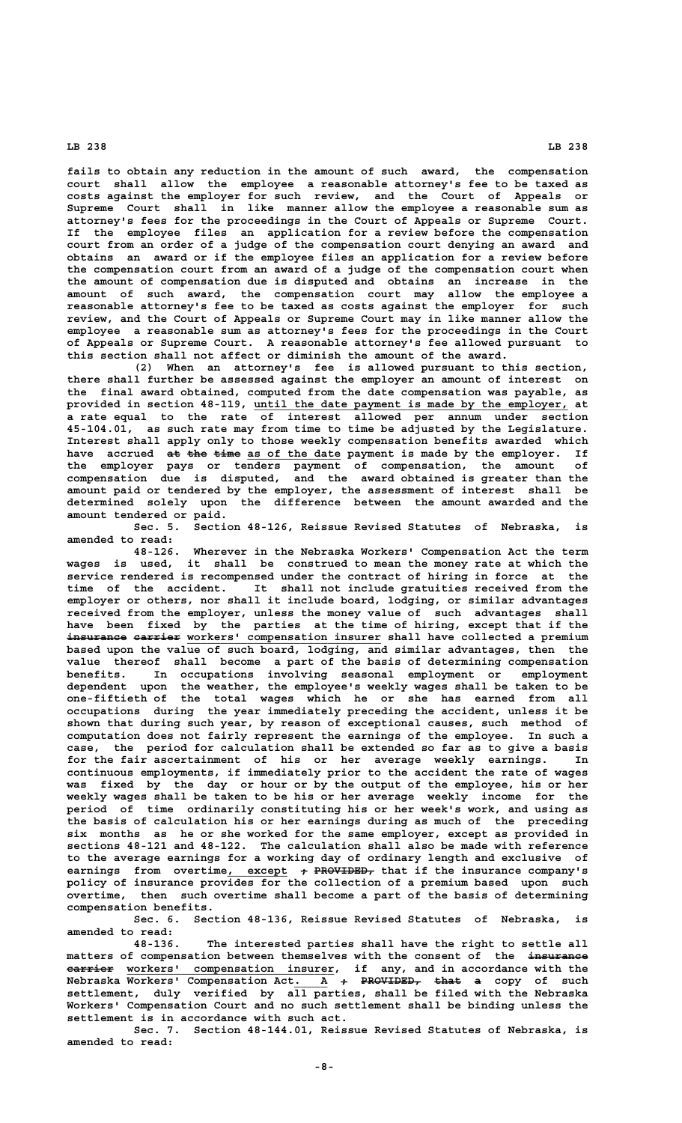**fails to obtain any reduction in the amount of such award, the compensation court shall allow the employee a reasonable attorney's fee to be taxed as costs against the employer for such review, and the Court of Appeals or Supreme Court shall in like manner allow the employee a reasonable sum as attorney's fees for the proceedings in the Court of Appeals or Supreme Court. If the employee files an application for a review before the compensation court from an order of a judge of the compensation court denying an award and obtains an award or if the employee files an application for a review before the compensation court from an award of a judge of the compensation court when the amount of compensation due is disputed and obtains an increase in the amount of such award, the compensation court may allow the employee a reasonable attorney's fee to be taxed as costs against the employer for such review, and the Court of Appeals or Supreme Court may in like manner allow the employee a reasonable sum as attorney's fees for the proceedings in the Court of Appeals or Supreme Court. A reasonable attorney's fee allowed pursuant to this section shall not affect or diminish the amount of the award.**

**(2) When an attorney's fee is allowed pursuant to this section, there shall further be assessed against the employer an amount of interest on the final award obtained, computed from the date compensation was payable, as** provided in section 48-119, <u>until the date payment is made by the employer,</u> at **a rate equal to the rate of interest allowed per annum under section 45-104.01, as such rate may from time to time be adjusted by the Legislature. Interest shall apply only to those weekly compensation benefits awarded which** have accrued at the time as of the date payment is made by the employer. If **the employer pays or tenders payment of compensation, the amount of compensation due is disputed, and the award obtained is greater than the amount paid or tendered by the employer, the assessment of interest shall be determined solely upon the difference between the amount awarded and the amount tendered or paid.**

**Sec. 5. Section 48-126, Reissue Revised Statutes of Nebraska, is amended to read:**

**48-126. Wherever in the Nebraska Workers' Compensation Act the term wages is used, it shall be construed to mean the money rate at which the service rendered is recompensed under the contract of hiring in force at the time of the accident. It shall not include gratuities received from the employer or others, nor shall it include board, lodging, or similar advantages received from the employer, unless the money value of such advantages shall have been fixed by the parties at the time of hiring, except that if the** insurance carrier workers' compensation insurer shall have collected a premium **based upon the value of such board, lodging, and similar advantages, then the value thereof shall become a part of the basis of determining compensation benefits. In occupations involving seasonal employment or employment dependent upon the weather, the employee's weekly wages shall be taken to be one-fiftieth of the total wages which he or she has earned from all occupations during the year immediately preceding the accident, unless it be shown that during such year, by reason of exceptional causes, such method of computation does not fairly represent the earnings of the employee. In such a case, the period for calculation shall be extended so far as to give a basis for the fair ascertainment of his or her average weekly earnings. In continuous employments, if immediately prior to the accident the rate of wages was fixed by the day or hour or by the output of the employee, his or her weekly wages shall be taken to be his or her average weekly income for the period of time ordinarily constituting his or her week's work, and using as the basis of calculation his or her earnings during as much of the preceding six months as he or she worked for the same employer, except as provided in sections 48-121 and 48-122. The calculation shall also be made with reference to the average earnings for a working day of ordinary length and exclusive of earnings** from overtime, except  $\rightarrow$  PROVIDED, that if the insurance company's **policy of insurance provides for the collection of a premium based upon such overtime, then such overtime shall become a part of the basis of determining compensation benefits.**

**Sec. 6. Section 48-136, Reissue Revised Statutes of Nebraska, is amended to read:**

**48-136. The interested parties shall have the right to settle all matters of compensation between themselves with the consent of the insurance ————————— ——————— \_\_\_\_\_\_\_\_\_\_\_\_\_\_\_\_\_\_\_\_\_\_\_\_\_\_\_\_\_\_\_ carrier workers' compensation insurer, if any, and in accordance with the Nebraska Workers' Compensation Act. A <del>+ PROVIDED, that</del> <del>a</del> copy of such settlement, duly verified by all parties, shall be filed with the Nebraska Workers' Compensation Court and no such settlement shall be binding unless the settlement is in accordance with such act.**

**Sec. 7. Section 48-144.01, Reissue Revised Statutes of Nebraska, is amended to read:**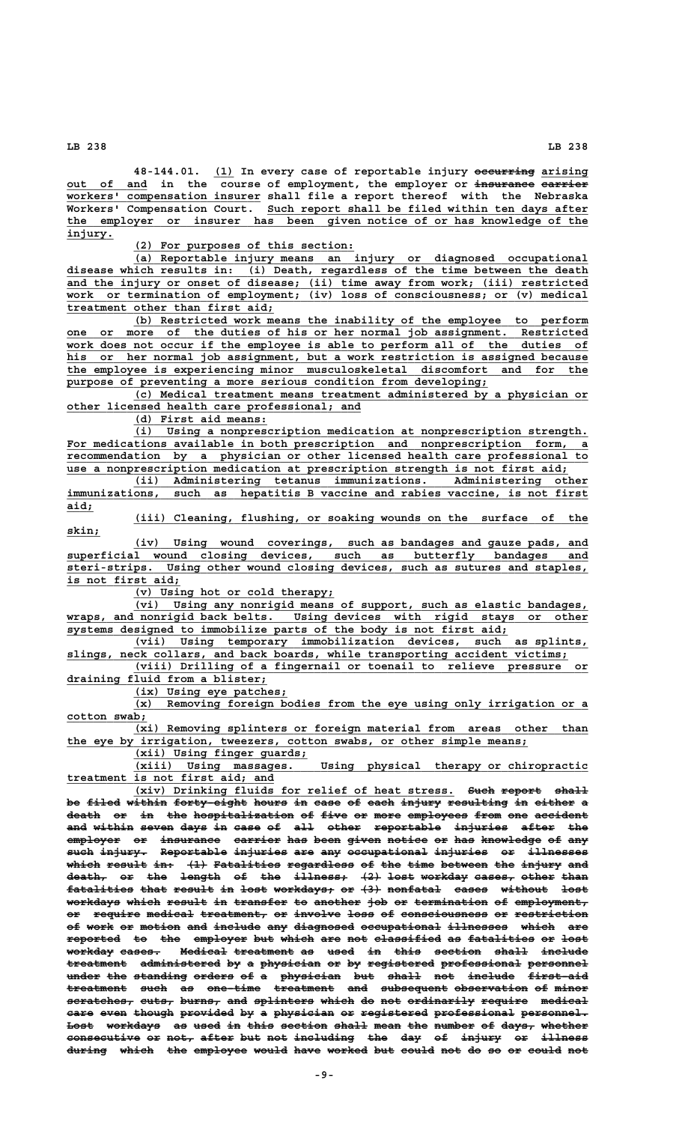**\_\_\_ ————————— \_\_\_\_\_\_\_ 48-144.01. (1) In every case of reportable injury occurring arising \_\_\_\_\_\_\_\_\_\_\_\_ ————————— ——————— out of and in the course of employment, the employer or insurance carrier \_\_\_\_\_\_\_\_\_\_\_\_\_\_\_\_\_\_\_\_\_\_\_\_\_\_\_\_\_ workers' compensation insurer shall file a report thereof with the Nebraska \_\_\_\_\_\_\_\_\_\_\_\_\_\_\_\_\_\_\_\_\_\_\_\_\_\_\_\_\_\_\_\_\_\_\_\_\_\_\_\_\_\_\_\_\_\_\_\_ Workers' Compensation Court. Such report shall be filed within ten days after \_\_\_\_\_\_\_\_\_\_\_\_\_\_\_\_\_\_\_\_\_\_\_\_\_\_\_\_\_\_\_\_\_\_\_\_\_\_\_\_\_\_\_\_\_\_\_\_\_\_\_\_\_\_\_\_\_\_\_\_\_\_\_\_\_\_\_\_\_\_\_\_\_\_\_\_\_\_ the employer or insurer has been given notice of or has knowledge of the** injury.

 **\_\_\_\_\_\_\_\_\_\_\_\_\_\_\_\_\_\_\_\_\_\_\_\_\_\_\_\_\_\_\_\_\_ (2) For purposes of this section:**

 **\_\_\_\_\_\_\_\_\_\_\_\_\_\_\_\_\_\_\_\_\_\_\_\_\_\_\_\_\_\_\_\_\_\_\_\_\_\_\_\_\_\_\_\_\_\_\_\_\_\_\_\_\_\_\_\_\_\_\_\_\_\_\_\_\_\_\_\_ (a) Reportable injury means an injury or diagnosed occupational \_\_\_\_\_\_\_\_\_\_\_\_\_\_\_\_\_\_\_\_\_\_\_\_\_\_\_\_\_\_\_\_\_\_\_\_\_\_\_\_\_\_\_\_\_\_\_\_\_\_\_\_\_\_\_\_\_\_\_\_\_\_\_\_\_\_\_\_\_\_\_\_\_\_\_\_\_\_ disease which results in: (i) Death, regardless of the time between the death \_\_\_\_\_\_\_\_\_\_\_\_\_\_\_\_\_\_\_\_\_\_\_\_\_\_\_\_\_\_\_\_\_\_\_\_\_\_\_\_\_\_\_\_\_\_\_\_\_\_\_\_\_\_\_\_\_\_\_\_\_\_\_\_\_\_\_\_\_\_\_\_\_\_\_\_\_\_ and the injury or onset of disease; (ii) time away from work; (iii) restricted \_\_\_\_\_\_\_\_\_\_\_\_\_\_\_\_\_\_\_\_\_\_\_\_\_\_\_\_\_\_\_\_\_\_\_\_\_\_\_\_\_\_\_\_\_\_\_\_\_\_\_\_\_\_\_\_\_\_\_\_\_\_\_\_\_\_\_\_\_\_\_\_\_\_\_\_\_\_ work or termination of employment; (iv) loss of consciousness; or (v) medical \_\_\_\_\_\_\_\_\_\_\_\_\_\_\_\_\_\_\_\_\_\_\_\_\_\_\_\_\_\_\_ treatment other than first aid;**

 **\_\_\_\_\_\_\_\_\_\_\_\_\_\_\_\_\_\_\_\_\_\_\_\_\_\_\_\_\_\_\_\_\_\_\_\_\_\_\_\_\_\_\_\_\_\_\_\_\_\_\_\_\_\_\_\_\_\_\_\_\_\_\_\_\_\_\_\_ (b) Restricted work means the inability of the employee to perform** one or more of the duties of his or her normal job assignment. Restricted work does not occur if the employee is able to perform all of the duties of  **\_\_\_\_\_\_\_\_\_\_\_\_\_\_\_\_\_\_\_\_\_\_\_\_\_\_\_\_\_\_\_\_\_\_\_\_\_\_\_\_\_\_\_\_\_\_\_\_\_\_\_\_\_\_\_\_\_\_\_\_\_\_\_\_\_\_\_\_\_\_\_\_\_\_\_\_\_\_ his or her normal job assignment, but a work restriction is assigned because \_\_\_\_\_\_\_\_\_\_\_\_\_\_\_\_\_\_\_\_\_\_\_\_\_\_\_\_\_\_\_\_\_\_\_\_\_\_\_\_\_\_\_\_\_\_\_\_\_\_\_\_\_\_\_\_\_\_\_\_\_\_\_\_\_\_\_\_\_\_\_\_\_\_\_\_\_\_ the employee is experiencing minor musculoskeletal discomfort and for the \_\_\_\_\_\_\_\_\_\_\_\_\_\_\_\_\_\_\_\_\_\_\_\_\_\_\_\_\_\_\_\_\_\_\_\_\_\_\_\_\_\_\_\_\_\_\_\_\_\_\_\_\_\_\_\_\_\_\_\_\_\_\_ purpose of preventing a more serious condition from developing;**

 **\_\_\_\_\_\_\_\_\_\_\_\_\_\_\_\_\_\_\_\_\_\_\_\_\_\_\_\_\_\_\_\_\_\_\_\_\_\_\_\_\_\_\_\_\_\_\_\_\_\_\_\_\_\_\_\_\_\_\_\_\_\_\_\_\_\_\_\_ (c) Medical treatment means treatment administered by a physician or \_\_\_\_\_\_\_\_\_\_\_\_\_\_\_\_\_\_\_\_\_\_\_\_\_\_\_\_\_\_\_\_\_\_\_\_\_\_\_\_\_\_\_\_ other licensed health care professional; and**

 **\_\_\_\_\_\_\_\_\_\_\_\_\_\_\_\_\_\_\_\_ (d) First aid means:**

 **\_\_\_\_\_\_\_\_\_\_\_\_\_\_\_\_\_\_\_\_\_\_\_\_\_\_\_\_\_\_\_\_\_\_\_\_\_\_\_\_\_\_\_\_\_\_\_\_\_\_\_\_\_\_\_\_\_\_\_\_\_\_\_\_\_\_\_\_ (i) Using a nonprescription medication at nonprescription strength.** For medications available in both prescription and nonprescription form, a  **\_\_\_\_\_\_\_\_\_\_\_\_\_\_\_\_\_\_\_\_\_\_\_\_\_\_\_\_\_\_\_\_\_\_\_\_\_\_\_\_\_\_\_\_\_\_\_\_\_\_\_\_\_\_\_\_\_\_\_\_\_\_\_\_\_\_\_\_\_\_\_\_\_\_\_\_\_\_ recommendation by a physician or other licensed health care professional to \_\_\_\_\_\_\_\_\_\_\_\_\_\_\_\_\_\_\_\_\_\_\_\_\_\_\_\_\_\_\_\_\_\_\_\_\_\_\_\_\_\_\_\_\_\_\_\_\_\_\_\_\_\_\_\_\_\_\_\_\_\_\_\_\_\_\_\_\_\_\_\_\_\_\_ use a nonprescription medication at prescription strength is not first aid;**

 **\_\_\_\_\_\_\_\_\_\_\_\_\_\_\_\_\_\_\_\_\_\_\_\_\_\_\_\_\_\_\_\_\_\_\_\_\_\_\_\_\_\_\_\_\_\_\_\_\_\_\_\_\_\_\_\_\_\_\_\_\_\_\_\_\_\_\_\_ (ii) Administering tetanus immunizations. Administering other \_\_\_\_\_\_\_\_\_\_\_\_\_\_\_\_\_\_\_\_\_\_\_\_\_\_\_\_\_\_\_\_\_\_\_\_\_\_\_\_\_\_\_\_\_\_\_\_\_\_\_\_\_\_\_\_\_\_\_\_\_\_\_\_\_\_\_\_\_\_\_\_\_\_\_\_\_\_ immunizations, such as hepatitis B vaccine and rabies vaccine, is not first aid;\_\_\_\_**

 **\_\_\_\_\_\_\_\_\_\_\_\_\_\_\_\_\_\_\_\_\_\_\_\_\_\_\_\_\_\_\_\_\_\_\_\_\_\_\_\_\_\_\_\_\_\_\_\_\_\_\_\_\_\_\_\_\_\_\_\_\_\_\_\_\_\_\_\_ (iii) Cleaning, flushing, or soaking wounds on the surface of the skin;\_\_\_\_\_**

 **\_\_\_\_\_\_\_\_\_\_\_\_\_\_\_\_\_\_\_\_\_\_\_\_\_\_\_\_\_\_\_\_\_\_\_\_\_\_\_\_\_\_\_\_\_\_\_\_\_\_\_\_\_\_\_\_\_\_\_\_\_\_\_\_\_\_\_\_ (iv) Using wound coverings, such as bandages and gauze pads, and \_\_\_\_\_\_\_\_\_\_\_\_\_\_\_\_\_\_\_\_\_\_\_\_\_\_\_\_\_\_\_\_\_\_\_\_\_\_\_\_\_\_\_\_\_\_\_\_\_\_\_\_\_\_\_\_\_\_\_\_\_\_\_\_\_\_\_\_\_\_\_\_\_\_\_\_\_\_ superficial wound closing devices, such as butterfly bandages and \_\_\_\_\_\_\_\_\_\_\_\_\_\_\_\_\_\_\_\_\_\_\_\_\_\_\_\_\_\_\_\_\_\_\_\_\_\_\_\_\_\_\_\_\_\_\_\_\_\_\_\_\_\_\_\_\_\_\_\_\_\_\_\_\_\_\_\_\_\_\_\_\_\_\_\_\_\_ steri-strips. Using other wound closing devices, such as sutures and staples, \_\_\_\_\_\_\_\_\_\_\_\_\_\_\_\_\_ is not first aid;**

 **\_\_\_\_\_\_\_\_\_\_\_\_\_\_\_\_\_\_\_\_\_\_\_\_\_\_\_\_\_\_ (v) Using hot or cold therapy;**

 **\_\_\_\_\_\_\_\_\_\_\_\_\_\_\_\_\_\_\_\_\_\_\_\_\_\_\_\_\_\_\_\_\_\_\_\_\_\_\_\_\_\_\_\_\_\_\_\_\_\_\_\_\_\_\_\_\_\_\_\_\_\_\_\_\_\_\_\_ (vi) Using any nonrigid means of support, such as elastic bandages, \_\_\_\_\_\_\_\_\_\_\_\_\_\_\_\_\_\_\_\_\_\_\_\_\_\_\_\_\_\_\_\_\_\_\_\_\_\_\_\_\_\_\_\_\_\_\_\_\_\_\_\_\_\_\_\_\_\_\_\_\_\_\_\_\_\_\_\_\_\_\_\_\_\_\_\_\_\_ wraps, and nonrigid back belts. Using devices with rigid stays or other \_\_\_\_\_\_\_\_\_\_\_\_\_\_\_\_\_\_\_\_\_\_\_\_\_\_\_\_\_\_\_\_\_\_\_\_\_\_\_\_\_\_\_\_\_\_\_\_\_\_\_\_\_\_\_\_\_\_\_\_\_\_\_\_\_\_ systems designed to immobilize parts of the body is not first aid;**

 **\_\_\_\_\_\_\_\_\_\_\_\_\_\_\_\_\_\_\_\_\_\_\_\_\_\_\_\_\_\_\_\_\_\_\_\_\_\_\_\_\_\_\_\_\_\_\_\_\_\_\_\_\_\_\_\_\_\_\_\_\_\_\_\_\_\_\_\_ (vii) Using temporary immobilization devices, such as splints, \_\_\_\_\_\_\_\_\_\_\_\_\_\_\_\_\_\_\_\_\_\_\_\_\_\_\_\_\_\_\_\_\_\_\_\_\_\_\_\_\_\_\_\_\_\_\_\_\_\_\_\_\_\_\_\_\_\_\_\_\_\_\_\_\_\_\_\_\_\_\_\_\_\_\_ slings, neck collars, and back boards, while transporting accident victims;**

 **\_\_\_\_\_\_\_\_\_\_\_\_\_\_\_\_\_\_\_\_\_\_\_\_\_\_\_\_\_\_\_\_\_\_\_\_\_\_\_\_\_\_\_\_\_\_\_\_\_\_\_\_\_\_\_\_\_\_\_\_\_\_\_\_\_\_\_\_ (viii) Drilling of a fingernail or toenail to relieve pressure or \_\_\_\_\_\_\_\_\_\_\_\_\_\_\_\_\_\_\_\_\_\_\_\_\_\_\_\_\_\_ draining fluid from a blister;**

 **\_\_\_\_\_\_\_\_\_\_\_\_\_\_\_\_\_\_\_\_\_\_\_ (ix) Using eye patches;**

 **\_\_\_\_\_\_\_\_\_\_\_\_\_\_\_\_\_\_\_\_\_\_\_\_\_\_\_\_\_\_\_\_\_\_\_\_\_\_\_\_\_\_\_\_\_\_\_\_\_\_\_\_\_\_\_\_\_\_\_\_\_\_\_\_\_\_\_\_ (x) Removing foreign bodies from the eye using only irrigation or a cotton swab; \_\_\_\_\_\_\_\_\_\_\_\_**

 **\_\_\_\_\_\_\_\_\_\_\_\_\_\_\_\_\_\_\_\_\_\_\_\_\_\_\_\_\_\_\_\_\_\_\_\_\_\_\_\_\_\_\_\_\_\_\_\_\_\_\_\_\_\_\_\_\_\_\_\_\_\_\_\_\_\_\_\_ (xi) Removing splinters or foreign material from areas other than \_\_\_\_\_\_\_\_\_\_\_\_\_\_\_\_\_\_\_\_\_\_\_\_\_\_\_\_\_\_\_\_\_\_\_\_\_\_\_\_\_\_\_\_\_\_\_\_\_\_\_\_\_\_\_\_\_\_\_\_\_\_\_\_\_\_\_\_\_ the eye by irrigation, tweezers, cotton swabs, or other simple means;**

 **\_\_\_\_\_\_\_\_\_\_\_\_\_\_\_\_\_\_\_\_\_\_\_\_\_\_ (xii) Using finger guards;**

 **\_\_\_\_\_\_\_\_\_\_\_\_\_\_\_\_\_\_\_\_\_\_\_\_\_\_\_\_\_\_\_\_\_\_\_\_\_\_\_\_\_\_\_\_\_\_\_\_\_\_\_\_\_\_\_\_\_\_\_\_\_\_\_\_\_\_\_\_ (xiii) Using massages. Using physical therapy or chiropractic treatment is not first aid; and** 

 $(xiv)$  Drinking fluids for relief of heat stress. Such report shall be filed within forty eight hours in case of each injury resulting in either a death or in the hospitalization of five or more employees from one accident and within seven days in case of all other reportable injuries after the **employer or insurance carrier has been given notice or has knowledge of any ———————— —— ————————— ——————— ——— ———— ————— —————— —— ——— ————————— —— —— such injury. Reportable injuries are any occupational injuries or illnesses ———— ——————— —————————— ———————— ——— ——— ———————————— ———————— —— ————————** which result in: (1) Fatalities regardless of the time between the injury and **death, or the length of the illness; (2) lost workday cases, other than —————— —— ——— —————— —— ——— ———————— ——— ———— ——————— —————— ————— ——— fatalities that result in lost workdays; or (3) nonfatal cases without lost —————————— ———— —————— —— ———— ————————— —— ——— ———————— ————— ——————— ———** workdays which result in transfer to another job or termination of employment, **or require medical treatment, or involve loss of consciousness or restriction —— ——————— ——————— —————————— —— ——————— ———— —— ————————————— —— ——————————** of work or motion and include any diagnosed occupational illnesses which are reported to the employer but which are not classified as fatalities or lost **workday cases. Medical treatment as used in this section shall include ——————— —————— ——————— ————————— —— ———— —— ———— ——————— ————— —————— treatment administered by a physician or by registered professional personnel ————————— ———————————— —— — ————————— —— —— —————————— ———————————— ———————— under the standing orders of a physician but shall not include first-aid ————— ——— ———————— —————— —— — ————————— ——— ————— ——— ——————— ———————— treatment such as one-time treatment and subsequent observation of minor ————————— ———— —— ———————— ————————— ——— —————————— ——————————— —— —————**  $\sigma$  aratches, cuts, burns, and splinters which do not ordinarily require medical **care even though provided by a physician or registered professional personnel. ———— ———— —————— ———————— —— — ————————— —— —————————— ———————————— ——————————** Lost workdays as used in this section shall mean the number of days, whether consecutive or not, after but not including the day of injury or illness during which the employee would have worked but could not do so or could not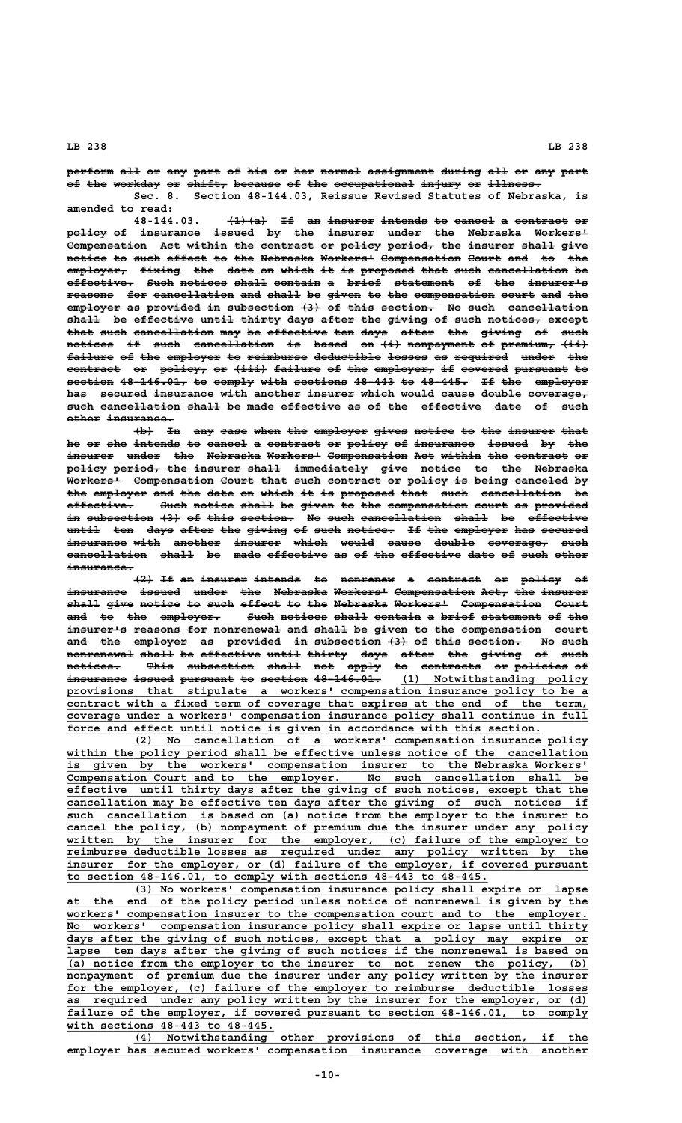perform all or any part of his or her normal assignment during all or any part of the workday or shift, because of the occupational injury or illness. **Sec. 8. Section 48-144.03, Reissue Revised Statutes of Nebraska, is**

**amended to read:**  $+1+(a)$  If an insurer intends to cancel a contract or policy of insurance issued by the insurer under the Nebraska Workers<sup>L</sup> **Compensation** Act within the contract or policy period, the insurer shall give  ${\bf notice}$  to such effect to the Nebraska Workers<sup>1</sup> Compensation Court and to the  $\overline{\text{emplayer}}$  f<del>ixing the date on which it is proposed that such cancellation</del> be **effective. Such notices shall contain a brief statement of the insurer's —————————— ———— ——————— ————— ——————— — ————— ————————— —— ——— ————————** reasons for cancellation and shall be given to the compensation court and the employer as provided in subsection (3) of this section. No such cancellation  $\overline{\textbf{shall}}$  be effective until thirty days after the giving of such notices, except **that such cancellation may be effective ten days after the giving of such ———— ———— ———————————— ——— —— ————————— ——— ———— ————— ——— —————— —— ——— notices if such cancellation is based on (i) nonpayment of premium, (ii) ——————— —— ———— ———————————— —— ————— —— ——— —————————— —— ———————— ———** failure of the employer to reimburse deductible losses as required under the  $\texttt{context}$  or  $\texttt{policy}, \texttt{or}$  (iii) failure of the employer, if covered pursuant to section 48-146.01, to comply with sections 48-443 to 48-445. If the employer has secured insurance with another insurer which would cause double coverage,  $\frac{a}{b}$  such cancellation shall be made effective as of the effective date of such  $o$ ther insurance.

 $\overline{+b}$  In any case when the employer gives notice to the insurer that he or she intends to cancel a contract or policy of insurance issued by the insurer under the Nebraska Workers<sup>1</sup> Compensation Act within the contract or **policy period, the insurer shall immediately give notice to the Nebraska —————— ——————— ——— ——————— ————— ——————————— ———— —————— —— ——— ———————— Workers' Compensation Court that such contract or policy is being canceled by ———————— ———————————— ————— ———— ———— ———————— —— —————— —— ————— ———————— —** the employer and the date on which it is proposed that such cancellation be effective. Such notice shall be given to the compensation court as provided in subsection (3) of this section. No such cancellation shall be effective **until ten days after the giving of such notice. If the employer has secured ————— ——— ———— ————— ——— —————— —— ———— ——————— —— ——— ———————— ——— —————— insurance with another insurer which would cause double coverage, such ————————— ———— ——————— ——————— ————— ————— ————— —————— ————————— ——— cancellation shall be made effective as of the effective date of such other ———————————— ————— —— ———— ————————— —— —— ——— ————————— ———— —— ———— ———— insurance. ——————————**

**(2) If an insurer intends to nonrenew a contract or policy of**  $\frac{1}{2}$  issued under the Nebraska-Workers<sup>1</sup> Compensation Act, the insurer shall give notice to such effect to the Nebraska Workers<sup>1</sup> Compensation Court and to the employer. Such notices shall contain a brief statement of the insurer's reasons for nonrenewal and shall be given to the compensation court and the employer as provided in subsection (3) of this section. No such **nonrenewal shall be effective until thirty days after the giving of such —————————— ————— —— ————————— ————— —————— ———— ————— ——— —————— —— ——— notices. This subsection shall not apply to contracts or policies of ———————— ———— —————————— ————— ——— ————— —— ————————— —— ———————— —** i<del>nsurance issued pursuant to section 48-146.01.</del> (1) Notwithstanding policy  **\_\_\_\_\_\_\_\_\_\_\_\_\_\_\_\_\_\_\_\_\_\_\_\_\_\_\_\_\_\_\_\_\_\_\_\_\_\_\_\_\_\_\_\_\_\_\_\_\_\_\_\_\_\_\_\_\_\_\_\_\_\_\_\_\_\_\_\_\_\_\_\_\_\_\_\_\_\_ provisions that stipulate a workers' compensation insurance policy to be a** contract with a fixed term of coverage that expires at the end of the term,  **\_\_\_\_\_\_\_\_\_\_\_\_\_\_\_\_\_\_\_\_\_\_\_\_\_\_\_\_\_\_\_\_\_\_\_\_\_\_\_\_\_\_\_\_\_\_\_\_\_\_\_\_\_\_\_\_\_\_\_\_\_\_\_\_\_\_\_\_\_\_\_\_\_\_\_\_\_\_ coverage under a workers' compensation insurance policy shall continue in full \_\_\_\_\_\_\_\_\_\_\_\_\_\_\_\_\_\_\_\_\_\_\_\_\_\_\_\_\_\_\_\_\_\_\_\_\_\_\_\_\_\_\_\_\_\_\_\_\_\_\_\_\_\_\_\_\_\_\_\_\_\_\_\_\_\_\_\_\_\_\_ force and effect until notice is given in accordance with this section.**

 **\_\_\_\_\_\_\_\_\_\_\_\_\_\_\_\_\_\_\_\_\_\_\_\_\_\_\_\_\_\_\_\_\_\_\_\_\_\_\_\_\_\_\_\_\_\_\_\_\_\_\_\_\_\_\_\_\_\_\_\_\_\_\_\_\_\_\_\_ (2) No cancellation of a workers' compensation insurance policy** within the policy period shall be effective unless notice of the cancellation  **\_\_\_\_\_\_\_\_\_\_\_\_\_\_\_\_\_\_\_\_\_\_\_\_\_\_\_\_\_\_\_\_\_\_\_\_\_\_\_\_\_\_\_\_\_\_\_\_\_\_\_\_\_\_\_\_\_\_\_\_\_\_\_\_\_\_\_\_\_\_\_\_\_\_\_\_\_\_ is given by the workers' compensation insurer to the Nebraska Workers' \_\_\_\_\_\_\_\_\_\_\_\_\_\_\_\_\_\_\_\_\_\_\_\_\_\_\_\_\_\_\_\_\_\_\_\_\_\_\_\_\_\_\_\_\_\_\_\_\_\_\_\_\_\_\_\_\_\_\_\_\_\_\_\_\_\_\_\_\_\_\_\_\_\_\_\_\_\_ Compensation Court and to the employer. No such cancellation shall be \_\_\_\_\_\_\_\_\_\_\_\_\_\_\_\_\_\_\_\_\_\_\_\_\_\_\_\_\_\_\_\_\_\_\_\_\_\_\_\_\_\_\_\_\_\_\_\_\_\_\_\_\_\_\_\_\_\_\_\_\_\_\_\_\_\_\_\_\_\_\_\_\_\_\_\_\_\_ effective until thirty days after the giving of such notices, except that the \_\_\_\_\_\_\_\_\_\_\_\_\_\_\_\_\_\_\_\_\_\_\_\_\_\_\_\_\_\_\_\_\_\_\_\_\_\_\_\_\_\_\_\_\_\_\_\_\_\_\_\_\_\_\_\_\_\_\_\_\_\_\_\_\_\_\_\_\_\_\_\_\_\_\_\_\_\_ cancellation may be effective ten days after the giving of such notices if \_\_\_\_\_\_\_\_\_\_\_\_\_\_\_\_\_\_\_\_\_\_\_\_\_\_\_\_\_\_\_\_\_\_\_\_\_\_\_\_\_\_\_\_\_\_\_\_\_\_\_\_\_\_\_\_\_\_\_\_\_\_\_\_\_\_\_\_\_\_\_\_\_\_\_\_\_\_ such cancellation is based on (a) notice from the employer to the insurer to** cancel the policy, (b) nonpayment of premium due the insurer under any policy  **\_\_\_\_\_\_\_\_\_\_\_\_\_\_\_\_\_\_\_\_\_\_\_\_\_\_\_\_\_\_\_\_\_\_\_\_\_\_\_\_\_\_\_\_\_\_\_\_\_\_\_\_\_\_\_\_\_\_\_\_\_\_\_\_\_\_\_\_\_\_\_\_\_\_\_\_\_\_ written by the insurer for the employer, (c) failure of the employer to \_\_\_\_\_\_\_\_\_\_\_\_\_\_\_\_\_\_\_\_\_\_\_\_\_\_\_\_\_\_\_\_\_\_\_\_\_\_\_\_\_\_\_\_\_\_\_\_\_\_\_\_\_\_\_\_\_\_\_\_\_\_\_\_\_\_\_\_\_\_\_\_\_\_\_\_\_\_ reimburse deductible losses as required under any policy written by the** insurer for the employer, or (d) failure of the employer, if covered pursuant  **\_\_\_\_\_\_\_\_\_\_\_\_\_\_\_\_\_\_\_\_\_\_\_\_\_\_\_\_\_\_\_\_\_\_\_\_\_\_\_\_\_\_\_\_\_\_\_\_\_\_\_\_\_\_\_\_\_\_\_\_\_\_\_ to section 48-146.01, to comply with sections 48-443 to 48-445.**

 **\_\_\_\_\_\_\_\_\_\_\_\_\_\_\_\_\_\_\_\_\_\_\_\_\_\_\_\_\_\_\_\_\_\_\_\_\_\_\_\_\_\_\_\_\_\_\_\_\_\_\_\_\_\_\_\_\_\_\_\_\_\_\_\_\_\_\_\_ (3) No workers' compensation insurance policy shall expire or lapse \_\_\_\_\_\_\_\_\_\_\_\_\_\_\_\_\_\_\_\_\_\_\_\_\_\_\_\_\_\_\_\_\_\_\_\_\_\_\_\_\_\_\_\_\_\_\_\_\_\_\_\_\_\_\_\_\_\_\_\_\_\_\_\_\_\_\_\_\_\_\_\_\_\_\_\_\_\_ at the end of the policy period unless notice of nonrenewal is given by the \_\_\_\_\_\_\_\_\_\_\_\_\_\_\_\_\_\_\_\_\_\_\_\_\_\_\_\_\_\_\_\_\_\_\_\_\_\_\_\_\_\_\_\_\_\_\_\_\_\_\_\_\_\_\_\_\_\_\_\_\_\_\_\_\_\_\_\_\_\_\_\_\_\_\_\_\_\_ workers' compensation insurer to the compensation court and to the employer. \_\_\_\_\_\_\_\_\_\_\_\_\_\_\_\_\_\_\_\_\_\_\_\_\_\_\_\_\_\_\_\_\_\_\_\_\_\_\_\_\_\_\_\_\_\_\_\_\_\_\_\_\_\_\_\_\_\_\_\_\_\_\_\_\_\_\_\_\_\_\_\_\_\_\_\_\_\_ No workers' compensation insurance policy shall expire or lapse until thirty \_\_\_\_\_\_\_\_\_\_\_\_\_\_\_\_\_\_\_\_\_\_\_\_\_\_\_\_\_\_\_\_\_\_\_\_\_\_\_\_\_\_\_\_\_\_\_\_\_\_\_\_\_\_\_\_\_\_\_\_\_\_\_\_\_\_\_\_\_\_\_\_\_\_\_\_\_\_ days after the giving of such notices, except that a policy may expire or \_\_\_\_\_\_\_\_\_\_\_\_\_\_\_\_\_\_\_\_\_\_\_\_\_\_\_\_\_\_\_\_\_\_\_\_\_\_\_\_\_\_\_\_\_\_\_\_\_\_\_\_\_\_\_\_\_\_\_\_\_\_\_\_\_\_\_\_\_\_\_\_\_\_\_\_\_\_ lapse ten days after the giving of such notices if the nonrenewal is based on** (a) notice from the employer to the insurer to not renew the policy, (b)  **\_\_\_\_\_\_\_\_\_\_\_\_\_\_\_\_\_\_\_\_\_\_\_\_\_\_\_\_\_\_\_\_\_\_\_\_\_\_\_\_\_\_\_\_\_\_\_\_\_\_\_\_\_\_\_\_\_\_\_\_\_\_\_\_\_\_\_\_\_\_\_\_\_\_\_\_\_\_ nonpayment of premium due the insurer under any policy written by the insurer \_\_\_\_\_\_\_\_\_\_\_\_\_\_\_\_\_\_\_\_\_\_\_\_\_\_\_\_\_\_\_\_\_\_\_\_\_\_\_\_\_\_\_\_\_\_\_\_\_\_\_\_\_\_\_\_\_\_\_\_\_\_\_\_\_\_\_\_\_\_\_\_\_\_\_\_\_\_ for the employer, (c) failure of the employer to reimburse deductible losses \_\_\_\_\_\_\_\_\_\_\_\_\_\_\_\_\_\_\_\_\_\_\_\_\_\_\_\_\_\_\_\_\_\_\_\_\_\_\_\_\_\_\_\_\_\_\_\_\_\_\_\_\_\_\_\_\_\_\_\_\_\_\_\_\_\_\_\_\_\_\_\_\_\_\_\_\_\_ as required under any policy written by the insurer for the employer, or (d)** failure of the employer, if covered pursuant to section  $48-146.01$ , to comply  **\_\_\_\_\_\_\_\_\_\_\_\_\_\_\_\_\_\_\_\_\_\_\_\_\_\_\_\_\_\_\_ with sections 48-443 to 48-445.**

 **\_\_\_\_\_\_\_\_\_\_\_\_\_\_\_\_\_\_\_\_\_\_\_\_\_\_\_\_\_\_\_\_\_\_\_\_\_\_\_\_\_\_\_\_\_\_\_\_\_\_\_\_\_\_\_\_\_\_\_\_\_\_\_\_\_\_\_\_ (4) Notwithstanding other provisions of this section, if the \_\_\_\_\_\_\_\_\_\_\_\_\_\_\_\_\_\_\_\_\_\_\_\_\_\_\_\_\_\_\_\_\_\_\_\_\_\_\_\_\_\_\_\_\_\_\_\_\_\_\_\_\_\_\_\_\_\_\_\_\_\_\_\_\_\_\_\_\_\_\_\_\_\_\_\_\_\_ employer has secured workers' compensation insurance coverage with another**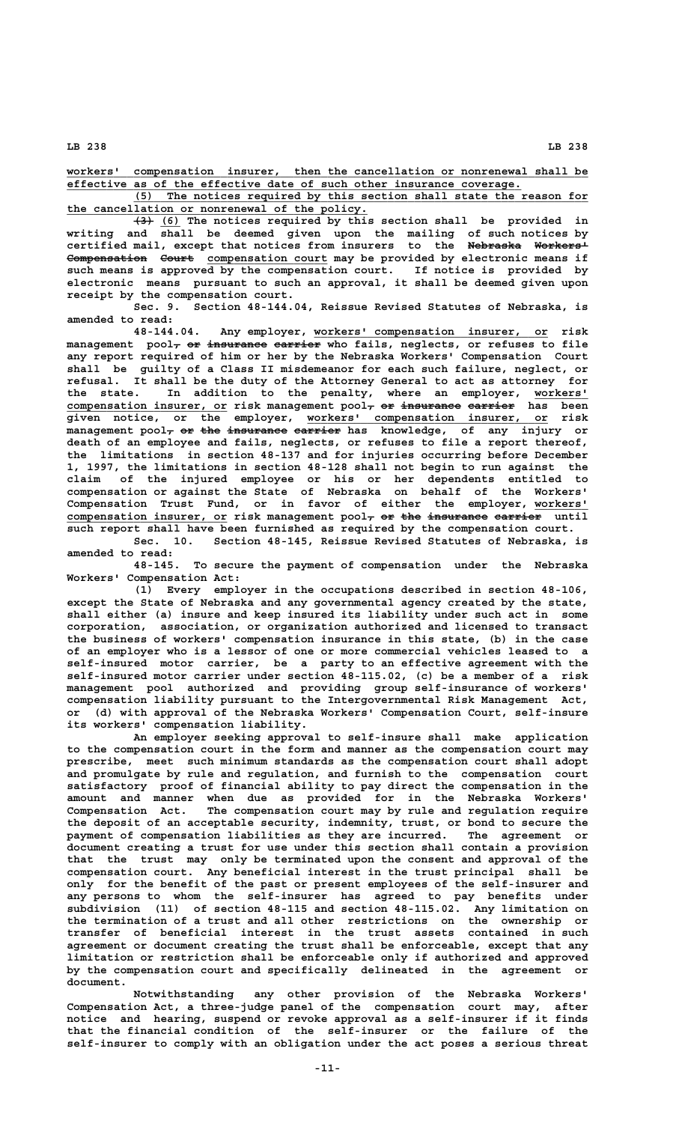**\_\_\_\_\_\_\_\_\_\_\_\_\_\_\_\_\_\_\_\_\_\_\_\_\_\_\_\_\_\_\_\_\_\_\_\_\_\_\_\_\_\_\_\_\_\_\_\_\_\_\_\_\_\_\_\_\_\_\_\_\_\_\_\_\_\_\_\_\_\_\_\_\_\_\_\_\_\_ workers' compensation insurer, then the cancellation or nonrenewal shall be \_\_\_\_\_\_\_\_\_\_\_\_\_\_\_\_\_\_\_\_\_\_\_\_\_\_\_\_\_\_\_\_\_\_\_\_\_\_\_\_\_\_\_\_\_\_\_\_\_\_\_\_\_\_\_\_\_\_\_\_\_\_\_\_\_\_\_\_ effective as of the effective date of such other insurance coverage.**

 **\_\_\_\_\_\_\_\_\_\_\_\_\_\_\_\_\_\_\_\_\_\_\_\_\_\_\_\_\_\_\_\_\_\_\_\_\_\_\_\_\_\_\_\_\_\_\_\_\_\_\_\_\_\_\_\_\_\_\_\_\_\_\_\_\_\_\_\_ (5) The notices required by this section shall state the reason for \_\_\_\_\_\_\_\_\_\_\_\_\_\_\_\_\_\_\_\_\_\_\_\_\_\_\_\_\_\_\_\_\_\_\_\_\_\_\_\_\_\_\_\_\_ the cancellation or nonrenewal of the policy.**

 $\overline{(3)}$  (6) The notices required by this section shall be provided in **writing and shall be deemed given upon the mailing of such notices by certified mail, except that notices from insurers to the Nebraska Workers' ———————— ————————** Compensation Court compensation court may be provided by electronic means if **such means is approved by the compensation court. If notice is provided by electronic means pursuant to such an approval, it shall be deemed given upon receipt by the compensation court.**

**Sec. 9. Section 48-144.04, Reissue Revised Statutes of Nebraska, is amended to read:**

 **\_\_\_\_\_\_\_\_\_\_\_\_\_\_\_\_\_\_\_\_\_\_\_\_\_\_\_\_\_\_\_\_\_\_\_ 48-144.04. Any employer, workers' compensation insurer, or risk**  $\texttt{management}$   $\texttt{pool}\text{-}\texttt{o}$   $\texttt{o}$   $\texttt{in}$   $\texttt{m}$   $\texttt{m}$   $\texttt{m}$   $\texttt{m}$   $\texttt{m}$   $\texttt{m}$   $\texttt{m}$   $\texttt{m}$   $\texttt{m}$   $\texttt{m}$   $\texttt{m}$   $\texttt{m}$   $\texttt{m}$   $\texttt{m}$   $\texttt{m}$   $\texttt{m}$   $\texttt{m}$   $\texttt{m}$   $\texttt{m}$   $\texttt{m$ **any report required of him or her by the Nebraska Workers' Compensation Court shall be guilty of a Class II misdemeanor for each such failure, neglect, or refusal. It shall be the duty of the Attorney General to act as attorney for the state. In addition to the penalty, where an employer, workers' \_\_\_\_\_\_\_\_**  $\sub{component}$  compensation insurer, or risk management  $\sub{pool_{\tau}}$  <del>or insurance carrier</del> has been  **\_\_\_\_\_\_\_\_\_\_\_\_\_\_\_\_\_\_\_\_\_\_\_\_\_\_\_\_\_\_\_\_\_\_\_\_ given notice, or the employer, workers' compensation insurer, or risk**  $m$ anagement pool<sub>7</sub> or the insurance carrier has knowledge, of any injury or **death of an employee and fails, neglects, or refuses to file a report thereof, the limitations in section 48-137 and for injuries occurring before December 1, 1997, the limitations in section 48-128 shall not begin to run against the claim of the injured employee or his or her dependents entitled to compensation or against the State of Nebraska on behalf of the Workers' Compensation Trust Fund, or in favor of either the employer, workers' \_\_\_\_\_\_\_\_** compensation insurer, or risk management pool<sub>7</sub> or the insurance carrier until **such report shall have been furnished as required by the compensation court.**

**Sec. 10. Section 48-145, Reissue Revised Statutes of Nebraska, is amended to read:**

**48-145. To secure the payment of compensation under the Nebraska Workers' Compensation Act:**

**(1) Every employer in the occupations described in section 48-106, except the State of Nebraska and any governmental agency created by the state, shall either (a) insure and keep insured its liability under such act in some corporation, association, or organization authorized and licensed to transact the business of workers' compensation insurance in this state, (b) in the case of an employer who is a lessor of one or more commercial vehicles leased to a self-insured motor carrier, be a party to an effective agreement with the self-insured motor carrier under section 48-115.02, (c) be a member of a risk management pool authorized and providing group self-insurance of workers' compensation liability pursuant to the Intergovernmental Risk Management Act, or (d) with approval of the Nebraska Workers' Compensation Court, self-insure its workers' compensation liability.**

**An employer seeking approval to self-insure shall make application to the compensation court in the form and manner as the compensation court may prescribe, meet such minimum standards as the compensation court shall adopt and promulgate by rule and regulation, and furnish to the compensation court satisfactory proof of financial ability to pay direct the compensation in the amount and manner when due as provided for in the Nebraska Workers' Compensation Act. The compensation court may by rule and regulation require the deposit of an acceptable security, indemnity, trust, or bond to secure the payment of compensation liabilities as they are incurred. The agreement or document creating a trust for use under this section shall contain a provision that the trust may only be terminated upon the consent and approval of the compensation court. Any beneficial interest in the trust principal shall be only for the benefit of the past or present employees of the self-insurer and any persons to whom the self-insurer has agreed to pay benefits under subdivision (11) of section 48-115 and section 48-115.02. Any limitation on the termination of a trust and all other restrictions on the ownership or transfer of beneficial interest in the trust assets contained in such agreement or document creating the trust shall be enforceable, except that any limitation or restriction shall be enforceable only if authorized and approved by the compensation court and specifically delineated in the agreement or document.**

**Notwithstanding any other provision of the Nebraska Workers' Compensation Act, a three-judge panel of the compensation court may, after notice and hearing, suspend or revoke approval as a self-insurer if it finds that the financial condition of the self-insurer or the failure of the self-insurer to comply with an obligation under the act poses a serious threat**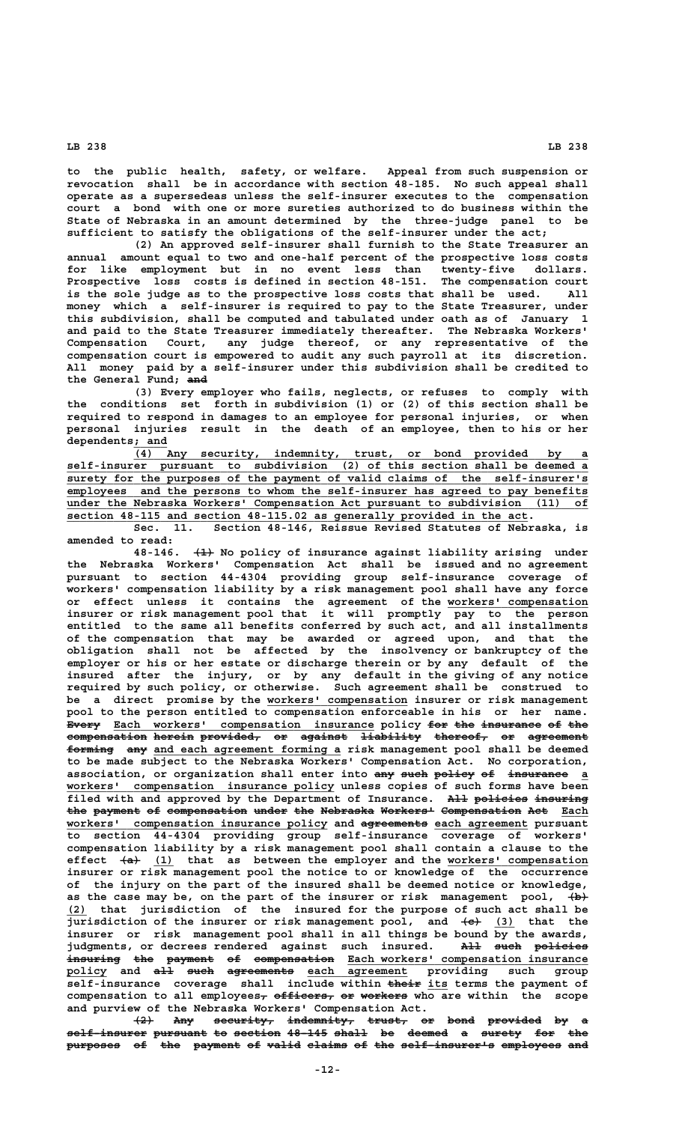**to the public health, safety, or welfare. Appeal from such suspension or revocation shall be in accordance with section 48-185. No such appeal shall operate as a supersedeas unless the self-insurer executes to the compensation court a bond with one or more sureties authorized to do business within the State of Nebraska in an amount determined by the three-judge panel to be sufficient to satisfy the obligations of the self-insurer under the act;**

**(2) An approved self-insurer shall furnish to the State Treasurer an annual amount equal to two and one-half percent of the prospective loss costs for like employment but in no event less than twenty-five dollars. Prospective loss costs is defined in section 48-151. The compensation court is the sole judge as to the prospective loss costs that shall be used. All money which a self-insurer is required to pay to the State Treasurer, under this subdivision, shall be computed and tabulated under oath as of January 1 and paid to the State Treasurer immediately thereafter. The Nebraska Workers' Compensation Court, any judge thereof, or any representative of the compensation court is empowered to audit any such payroll at its discretion. All money paid by a self-insurer under this subdivision shall be credited to ——— the General Fund; and**

**(3) Every employer who fails, neglects, or refuses to comply with the conditions set forth in subdivision (1) or (2) of this section shall be required to respond in damages to an employee for personal injuries, or when personal injuries result in the death of an employee, then to his or her dependents; and \_\_\_\_\_**

 **\_\_\_\_\_\_\_\_\_\_\_\_\_\_\_\_\_\_\_\_\_\_\_\_\_\_\_\_\_\_\_\_\_\_\_\_\_\_\_\_\_\_\_\_\_\_\_\_\_\_\_\_\_\_\_\_\_\_\_\_\_\_\_\_\_\_\_\_ (4) Any security, indemnity, trust, or bond provided by a \_\_\_\_\_\_\_\_\_\_\_\_\_\_\_\_\_\_\_\_\_\_\_\_\_\_\_\_\_\_\_\_\_\_\_\_\_\_\_\_\_\_\_\_\_\_\_\_\_\_\_\_\_\_\_\_\_\_\_\_\_\_\_\_\_\_\_\_\_\_\_\_\_\_\_\_\_\_ self-insurer pursuant to subdivision (2) of this section shall be deemed a \_\_\_\_\_\_\_\_\_\_\_\_\_\_\_\_\_\_\_\_\_\_\_\_\_\_\_\_\_\_\_\_\_\_\_\_\_\_\_\_\_\_\_\_\_\_\_\_\_\_\_\_\_\_\_\_\_\_\_\_\_\_\_\_\_\_\_\_\_\_\_\_\_\_\_\_\_\_ surety for the purposes of the payment of valid claims of the self-insurer's \_\_\_\_\_\_\_\_\_\_\_\_\_\_\_\_\_\_\_\_\_\_\_\_\_\_\_\_\_\_\_\_\_\_\_\_\_\_\_\_\_\_\_\_\_\_\_\_\_\_\_\_\_\_\_\_\_\_\_\_\_\_\_\_\_\_\_\_\_\_\_\_\_\_\_\_\_\_ employees and the persons to whom the self-insurer has agreed to pay benefits \_\_\_\_\_\_\_\_\_\_\_\_\_\_\_\_\_\_\_\_\_\_\_\_\_** Compensation Act pursuant to subdivision (11) of  **\_\_\_\_\_\_\_\_\_\_\_\_\_\_\_\_\_\_\_\_\_\_\_\_\_\_\_\_\_\_\_\_\_\_\_\_\_\_\_\_\_\_\_\_\_\_\_\_\_\_\_\_\_\_\_\_\_\_\_\_\_\_\_\_\_\_\_\_\_ section 48-115 and section 48-115.02 as generally provided in the act.**

**Sec. 11. Section 48-146, Reissue Revised Statutes of Nebraska, is amended to read:**

 **——— 48-146. (1) No policy of insurance against liability arising under the Nebraska Workers' Compensation Act shall be issued and no agreement pursuant to section 44-4304 providing group self-insurance coverage of workers' compensation liability by a risk management pool shall have any force or effect unless it contains the agreement of the workers' compensation \_\_\_\_\_\_\_\_\_\_\_\_\_\_\_\_\_\_\_\_\_ insurer or risk management pool that it will promptly pay to the person entitled to the same all benefits conferred by such act, and all installments of the compensation that may be awarded or agreed upon, and that the obligation shall not be affected by the insolvency or bankruptcy of the employer or his or her estate or discharge therein or by any default of the insured after the injury, or by any default in the giving of any notice required by such policy, or otherwise. Such agreement shall be construed to \_\_\_\_\_\_\_\_\_\_\_\_\_\_\_\_\_\_\_\_\_ be a direct promise by the workers' compensation insurer or risk management pool to the person entitled to compensation enforceable in his or her name.** Every Each workers' compensation insurance policy for the insurance of the compensation herein provided, or against liability thereof, or agreement forming any and each agreement forming a risk management pool shall be deemed **to be made subject to the Nebraska Workers' Compensation Act. No corporation,** association, or organization shall enter into any such policy of insurance a  **\_\_\_\_\_\_\_\_\_\_\_\_\_\_\_\_\_\_\_\_\_\_\_\_\_\_\_\_\_\_\_\_\_\_\_\_\_\_\_\_ workers' compensation insurance policy unless copies of such forms have been** filed with and approved by the Department of Insurance. All policies insuring **the payment of compensation under the Nebraska Workers' Compensation Act Each ——— ——————— —— ———————————— ————— ——— ———————— ———————— ———————————— ——— \_\_\_\_ \_\_\_\_\_\_\_\_\_\_\_\_\_\_\_\_\_\_\_\_\_\_\_\_\_\_\_\_\_\_\_\_\_\_\_\_\_\_\_ —————————— \_\_\_\_\_\_\_\_\_\_\_\_\_\_ workers' compensation insurance policy and agreements each agreement pursuant to section 44-4304 providing group self-insurance coverage of workers' compensation liability by a risk management pool shall contain a clause to the** effect  $\{a\}$  (1) that as between the employer and the workers' compensation **insurer or risk management pool the notice to or knowledge of the occurrence of the injury on the part of the insured shall be deemed notice or knowledge,** as the case may be, on the part of the insurer or risk management pool,  $\{b\}$  **\_\_\_ (2) that jurisdiction of the insured for the purpose of such act shall be jurisdiction of the insurer or risk management pool, and**  $\leftarrow \leftarrow$  **(3) that the insurer or risk management pool shall in all things be bound by the awards,** judgments, or decrees rendered against such insured. All such policies  $\overline{\texttt{inouring}}$  the payment of compensation Each workers' compensation insurance **policy and all such agreements each agreement providing such group \_\_\_\_\_\_ ——— ———— —————————— \_\_\_\_\_\_\_\_\_\_\_\_\_\_\_**  $\overline{\text{self}}$ -insurance coverage shall include within their its terms the payment of compensation to all employees<sub>7</sub> officers, or workers who are within the scope **and purview of the Nebraska Workers' Compensation Act.**

 $\{2\}$  Any security, indemnity, trust, or bond provided by a self-insurer pursuant to section 48-145 shall be deemed a surety for the purposes of the payment of valid claims of the self-insurer's employees and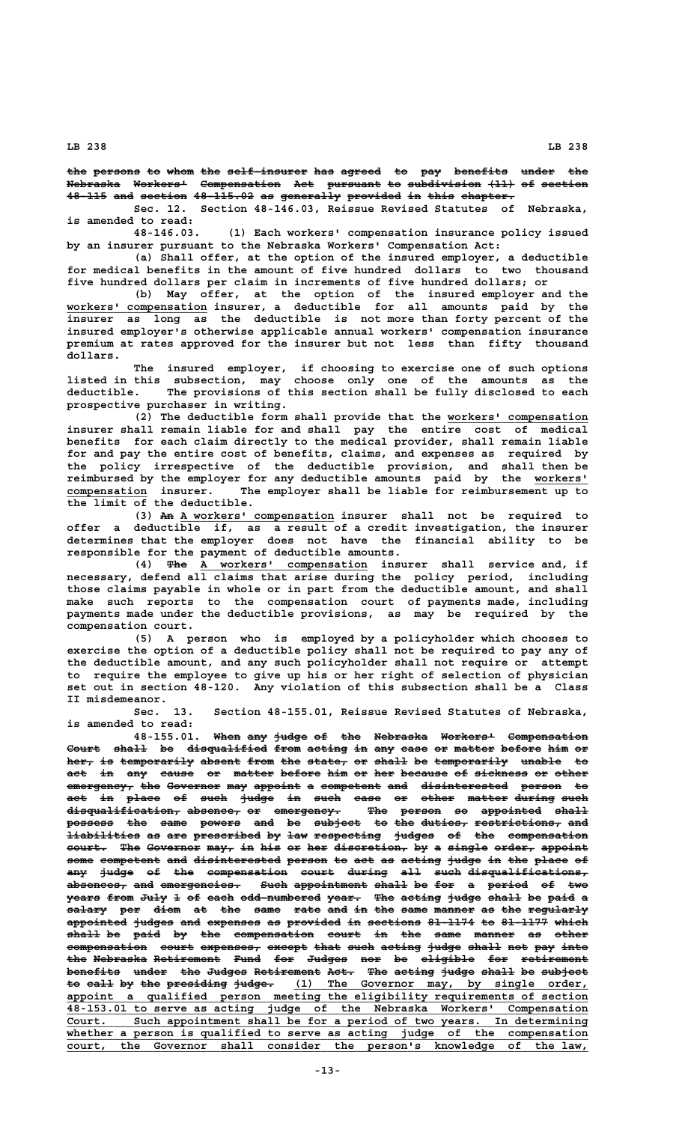the persons to whom the self insurer has agreed to pay benefits under the Nebraska Workers<sup>1</sup> Compensation Act pursuant to subdivision (11) of section **48-115 and section 48-115.02 as generally provided in this chapter. —————— ——— ——————— ————————— —— ————————— ———————— —— ———— ————————**

**Sec. 12. Section 48-146.03, Reissue Revised Statutes of Nebraska, is amended to read:**

**48-146.03. (1) Each workers' compensation insurance policy issued by an insurer pursuant to the Nebraska Workers' Compensation Act:**

**(a) Shall offer, at the option of the insured employer, a deductible for medical benefits in the amount of five hundred dollars to two thousand five hundred dollars per claim in increments of five hundred dollars; or**

**(b) May offer, at the option of the insured employer and the \_\_\_\_\_\_\_\_\_\_\_\_\_\_\_\_\_\_\_\_\_ workers' compensation insurer, a deductible for all amounts paid by the insurer as long as the deductible is not more than forty percent of the insured employer's otherwise applicable annual workers' compensation insurance premium at rates approved for the insurer but not less than fifty thousand dollars.**

> **The insured employer, if choosing to exercise one of such options listed in this subsection, may choose only one of the amounts as the deductible. The provisions of this section shall be fully disclosed to each prospective purchaser in writing.**

**(2) The deductible form shall provide that the workers' compensation \_\_\_\_\_\_\_\_\_\_\_\_\_\_\_\_\_\_\_\_\_ insurer shall remain liable for and shall pay the entire cost of medical benefits for each claim directly to the medical provider, shall remain liable for and pay the entire cost of benefits, claims, and expenses as required by the policy irrespective of the deductible provision, and shall then be reimbursed by the employer for any deductible amounts paid by the workers' \_\_\_\_\_\_\_\_ \_\_\_\_\_\_\_\_\_\_\_\_ compensation insurer. The employer shall be liable for reimbursement up to the limit of the deductible.**

> **—— \_\_\_\_\_\_\_\_\_\_\_\_\_\_\_\_\_\_\_\_\_\_\_ (3) An A workers' compensation insurer shall not be required to offer a deductible if, as a result of a credit investigation, the insurer determines that the employer does not have the financial ability to be responsible for the payment of deductible amounts.**

> (4) <del>The</del> A workers' compensation insurer shall service and, if **necessary, defend all claims that arise during the policy period, including those claims payable in whole or in part from the deductible amount, and shall make such reports to the compensation court of payments made, including payments made under the deductible provisions, as may be required by the compensation court.**

> **(5) A person who is employed by a policyholder which chooses to exercise the option of a deductible policy shall not be required to pay any of the deductible amount, and any such policyholder shall not require or attempt to require the employee to give up his or her right of selection of physician set out in section 48-120. Any violation of this subsection shall be a Class II misdemeanor.**

> **Sec. 13. Section 48-155.01, Reissue Revised Statutes of Nebraska, is amended to read:**

**48-155.01. When any judge of the Nebraska Workers' Compensation ———— ——— ————— —— ——— ———————— ———————— ————————————** Court shall be disqualified from acting in any case or matter before him or  $her<sub>\tau</sub>$  is temporarily absent from the state, or shall be temporarily unable to act in any cause or matter before him or her because of sickness or other  $\overline{\phantom{a}}$  emergency, the Governor may appoint a competent and disinterested person to **act in place of such judge in such case or other matter during such ——— —— ————— —— ———— ————— —— ———— ———— —— ————— —————— —————— ——— disqualification, absence, or emergency. The person so appointed shall ————————————————— ———————— —— —————————— ——— —————— —— ————————— ———— possess the same powers and be subject to the duties, restrictions, and ——————— ——— ———— —————— ——— —— ——————— —— ——— ——————— ————————————— ——— Liabilities as are prescribed by law respecting judges of the compensation court.** The Governor may, in his or her discretion, by a single order, appoint some competent and disinterested person to act as acting judge in the place of any judge of the compensation court during all such disqualifications, absences, and emergencies. Such appointment shall be for a period of two **years from July 1 of each odd-numbered year. The acting judge shall be paid a**  $=$  salary per diem at the same rate and in the same manner as the regularly **appointed judges and expenses as provided in sections 81-1174 to 81-1177 which ————————— —————— ——— ———————— —— ———————— —— ———————— ——————— —— ——————— ———— shall be paid by the compensation court in the same manner as other ————— —— ———— —— ——— ———————————— ————— —— ——— ———— —————— —— ————**  $compensation$  court expenses, except that such acting judge shall not pay into **the Nebraska Retirement Fund for Judges nor be eligible for retirement ——— ———————— —————————— ———— ——— —————— ——— —— ———————— ——— ————————— benefits under the Judges Retirement Act. The acting judge shall be subject ———————— ————— ——— —————— —————————— ———— ——— —————— ————— ————— —— ——————** to eall by the presiding judge. (1) The Governor may, by single order,  **\_\_\_\_\_\_\_\_\_\_\_\_\_\_\_\_\_\_\_\_\_\_\_\_\_\_\_\_\_\_\_\_\_\_\_\_\_\_\_\_\_\_\_\_\_\_\_\_\_\_\_\_\_\_\_\_\_\_\_\_\_\_\_\_\_\_\_\_\_\_\_\_\_\_\_\_\_\_ appoint a qualified person meeting the eligibility requirements of section \_\_\_\_\_\_\_\_\_\_\_\_\_\_\_\_\_\_\_\_\_\_\_\_\_\_\_\_\_\_\_\_\_\_\_\_\_\_\_\_\_\_\_\_\_\_\_\_\_\_\_\_\_\_\_\_\_\_\_\_\_\_\_\_\_\_\_\_\_\_\_\_\_\_\_\_\_\_ 48-153.01 to serve as acting judge of the Nebraska Workers' Compensation \_\_\_\_\_\_\_\_\_\_\_\_\_\_\_\_\_\_\_\_\_\_\_\_\_\_\_\_\_\_\_\_\_\_\_\_\_\_\_\_\_\_\_\_\_\_\_\_\_\_\_\_\_\_\_\_\_\_\_\_\_\_\_\_\_\_\_\_\_\_\_\_\_\_\_\_\_\_ Court. Such appointment shall be for a period of two years. In determining \_\_\_\_\_\_\_\_\_\_\_\_\_\_\_\_\_\_\_\_\_\_\_\_\_\_\_\_\_\_\_\_\_\_\_\_\_\_\_\_\_\_\_\_\_\_\_\_\_\_\_\_\_\_\_\_\_\_\_\_\_\_\_\_\_\_\_\_\_\_\_\_\_\_\_\_\_\_ whether a person is qualified to serve as acting judge of the compensation \_\_\_\_\_\_\_\_\_\_\_\_\_\_\_\_\_\_\_\_\_\_\_\_\_\_\_\_\_\_\_\_\_\_\_\_\_\_\_\_\_\_\_\_\_\_\_\_\_\_\_\_\_\_\_\_\_\_\_\_\_\_\_\_\_\_\_\_\_\_\_\_\_\_\_\_\_\_ court, the Governor shall consider the person's knowledge of the law,**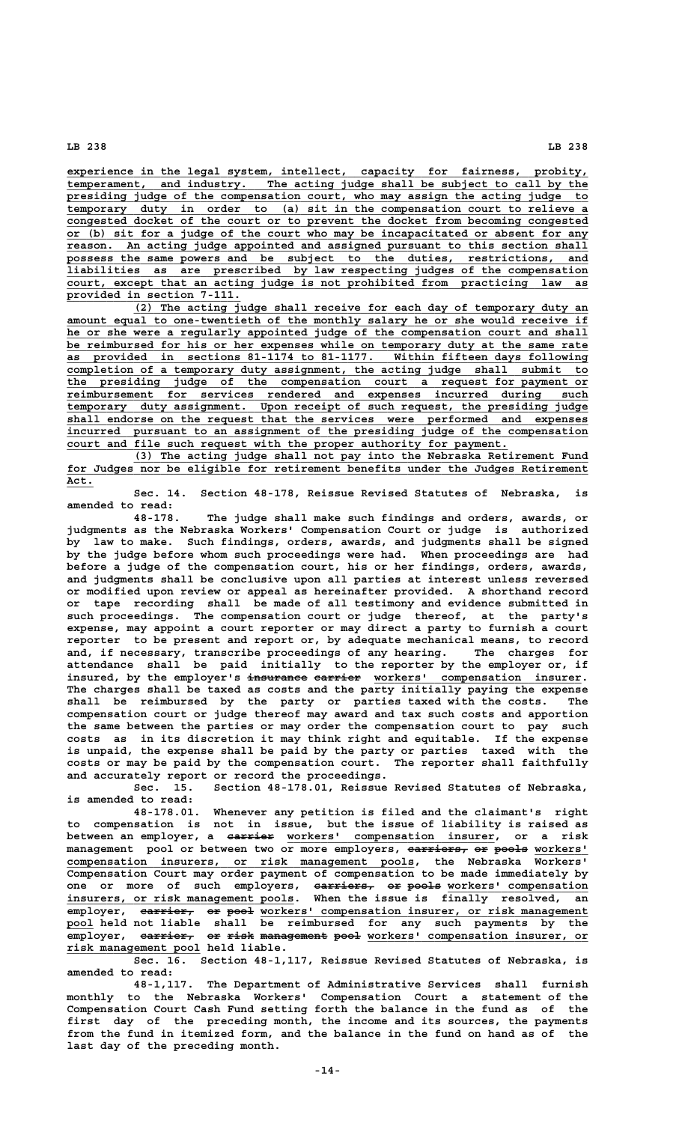**\_\_\_\_\_\_\_\_\_\_\_\_\_\_\_\_\_\_\_\_\_\_\_\_\_\_\_\_\_\_\_\_\_\_\_\_\_\_\_\_\_\_\_\_\_\_\_\_\_\_\_\_\_\_\_\_\_\_\_\_\_\_\_\_\_\_\_\_\_\_\_\_\_\_\_\_\_\_ experience in the legal system, intellect, capacity for fairness, probity,** temperament, and industry. The acting judge shall be subject to call by the  **\_\_\_\_\_\_\_\_\_\_\_\_\_\_\_\_\_\_\_\_\_\_\_\_\_\_\_\_\_\_\_\_\_\_\_\_\_\_\_\_\_\_\_\_\_\_\_\_\_\_\_\_\_\_\_\_\_\_\_\_\_\_\_\_\_\_\_\_\_\_\_\_\_\_\_\_\_\_ presiding judge of the compensation court, who may assign the acting judge to \_\_\_\_\_\_\_\_\_\_\_\_\_\_\_\_\_\_\_\_\_\_\_\_\_\_\_\_\_\_\_\_\_\_\_\_\_\_\_\_\_\_\_\_\_\_\_\_\_\_\_\_\_\_\_\_\_\_\_\_\_\_\_\_\_\_\_\_\_\_\_\_\_\_\_\_\_\_ temporary duty in order to (a) sit in the compensation court to relieve a \_\_\_\_\_\_\_\_\_\_\_\_\_\_\_\_\_\_\_\_\_\_\_\_\_\_\_\_\_\_\_\_\_\_\_\_\_\_\_\_\_\_\_\_\_\_\_\_\_\_\_\_\_\_\_\_\_\_\_\_\_\_\_\_\_\_\_\_\_\_\_\_\_\_\_\_\_\_ congested docket of the court or to prevent the docket from becoming congested \_\_\_\_\_\_\_\_\_\_\_\_\_\_\_\_\_\_\_\_\_\_\_\_\_\_\_\_\_\_\_\_\_\_\_\_\_\_\_\_\_\_\_\_\_\_\_\_\_\_\_\_\_\_\_\_\_\_\_\_\_\_\_\_\_\_\_\_\_\_\_\_\_\_\_\_\_\_ or (b) sit for a judge of the court who may be incapacitated or absent for any** An acting judge appointed and assigned pursuant to this section shall  **\_\_\_\_\_\_\_\_\_\_\_\_\_\_\_\_\_\_\_\_\_\_\_\_\_\_\_\_\_\_\_\_\_\_\_\_\_\_\_\_\_\_\_\_\_\_\_\_\_\_\_\_\_\_\_\_\_\_\_\_\_\_\_\_\_\_\_\_\_\_\_\_\_\_\_\_\_\_ possess the same powers and be subject to the duties, restrictions, and \_\_\_\_\_\_\_\_\_\_\_\_\_\_\_\_\_\_\_\_\_\_\_\_\_\_\_\_\_\_\_\_\_\_\_\_\_\_\_\_\_\_\_\_\_\_\_\_\_\_\_\_\_\_\_\_\_\_\_\_\_\_\_\_\_\_\_\_\_\_\_\_\_\_\_\_\_\_ liabilities as are prescribed by law respecting judges of the compensation \_\_\_\_\_\_\_\_\_\_\_\_\_\_\_\_\_\_\_\_\_\_\_\_\_\_\_\_\_\_\_\_\_\_\_\_\_\_\_\_\_\_\_\_\_\_\_\_\_\_\_\_\_\_\_\_\_\_\_\_\_\_\_\_\_\_\_\_\_\_\_\_\_\_\_\_\_\_ court, except that an acting judge is not prohibited from practicing law as \_\_\_\_\_\_\_\_\_\_\_\_\_\_\_\_\_\_\_\_\_\_\_\_\_\_ provided in section 7-111.**

 **\_\_\_\_\_\_\_\_\_\_\_\_\_\_\_\_\_\_\_\_\_\_\_\_\_\_\_\_\_\_\_\_\_\_\_\_\_\_\_\_\_\_\_\_\_\_\_\_\_\_\_\_\_\_\_\_\_\_\_\_\_\_\_\_\_\_\_\_ (2) The acting judge shall receive for each day of temporary duty an** amount equal to one-twentieth of the monthly salary he or she would receive if he or she were a regularly appointed judge of the compensation court and shall be reimbursed for his or her expenses while on temporary duty at the same rate  **\_\_\_\_\_\_\_\_\_\_\_\_\_\_\_\_\_\_\_\_\_\_\_\_\_\_\_\_\_\_\_\_\_\_\_\_\_\_\_\_\_\_\_\_\_\_\_\_\_\_\_\_\_\_\_\_\_\_\_\_\_\_\_\_\_\_\_\_\_\_\_\_\_\_\_\_\_\_ as provided in sections 81-1174 to 81-1177. Within fifteen days following \_\_\_\_\_\_\_\_\_\_\_\_\_\_\_\_\_\_\_\_\_\_\_\_\_\_\_\_\_\_\_\_\_\_\_\_\_\_\_\_\_\_\_\_\_\_\_\_\_\_\_\_\_\_\_\_\_\_\_\_\_\_\_\_\_\_\_\_\_\_\_\_\_\_\_\_\_\_ completion of a temporary duty assignment, the acting judge shall submit to \_\_\_\_\_\_\_\_\_\_\_\_\_\_\_\_\_\_\_\_\_\_\_\_\_\_\_\_\_\_\_\_\_\_\_\_\_\_\_\_\_\_\_\_\_\_\_\_\_\_\_\_\_\_\_\_\_\_\_\_\_\_\_\_\_\_\_\_\_\_\_\_\_\_\_\_\_\_ the presiding judge of the compensation court a request for payment or \_\_\_\_\_\_\_\_\_\_\_\_\_\_\_\_\_\_\_\_\_\_\_\_\_\_\_\_\_\_\_\_\_\_\_\_\_\_\_\_\_\_\_\_\_\_\_\_\_\_\_\_\_\_\_\_\_\_\_\_\_\_\_\_\_\_\_\_\_\_\_\_\_\_\_\_\_\_ reimbursement for services rendered and expenses incurred during such \_\_\_\_\_\_\_\_\_\_\_\_\_\_\_\_\_\_\_\_\_\_\_\_\_\_\_\_\_\_\_\_\_\_\_\_\_\_\_\_\_\_\_\_\_\_\_\_\_\_\_\_\_\_\_\_\_\_\_\_\_\_\_\_\_\_\_\_\_\_\_\_\_\_\_\_\_\_ temporary duty assignment. Upon receipt of such request, the presiding judge \_\_\_\_\_\_\_\_\_\_\_\_\_\_\_\_\_\_\_\_\_\_\_\_\_\_\_\_\_\_\_\_\_\_\_\_\_\_\_\_\_\_\_\_\_\_\_\_\_\_\_\_\_\_\_\_\_\_\_\_\_\_\_\_\_\_\_\_\_\_\_\_\_\_\_\_\_\_ shall endorse on the request that the services were performed and expenses \_\_\_\_\_\_\_\_\_\_\_\_\_\_\_\_\_\_\_\_\_\_\_\_\_\_\_\_\_\_\_\_\_\_\_\_\_\_\_\_\_\_\_\_\_\_\_\_\_\_\_\_\_\_\_\_\_\_\_\_\_\_\_\_\_\_\_\_\_\_\_\_\_\_\_\_\_\_ incurred pursuant to an assignment of the presiding judge of the compensation \_\_\_\_\_\_\_\_\_\_\_\_\_\_\_\_\_\_\_\_\_\_\_\_\_\_\_\_\_\_\_\_\_\_\_\_\_\_\_\_\_\_\_\_\_\_\_\_\_\_\_\_\_\_\_\_\_\_\_\_\_\_\_\_\_\_ court and file such request with the proper authority for payment.**

 **\_\_\_\_\_\_\_\_\_\_\_\_\_\_\_\_\_\_\_\_\_\_\_\_\_\_\_\_\_\_\_\_\_\_\_\_\_\_\_\_\_\_\_\_\_\_\_\_\_\_\_\_\_\_\_\_\_\_\_\_\_\_\_\_\_\_\_\_ (3) The acting judge shall not pay into the Nebraska Retirement Fund** for Judges nor be eligible for retirement benefits under the Judges Retirement  **Act.\_\_\_\_**

**Sec. 14. Section 48-178, Reissue Revised Statutes of Nebraska, is amended to read:**

**48-178. The judge shall make such findings and orders, awards, or judgments as the Nebraska Workers' Compensation Court or judge is authorized by law to make. Such findings, orders, awards, and judgments shall be signed by the judge before whom such proceedings were had. When proceedings are had before a judge of the compensation court, his or her findings, orders, awards, and judgments shall be conclusive upon all parties at interest unless reversed or modified upon review or appeal as hereinafter provided. A shorthand record or tape recording shall be made of all testimony and evidence submitted in such proceedings. The compensation court or judge thereof, at the party's expense, may appoint a court reporter or may direct a party to furnish a court reporter to be present and report or, by adequate mechanical means, to record and, if necessary, transcribe proceedings of any hearing. The charges for attendance shall be paid initially to the reporter by the employer or, if** insured, by the employer's <del>insurance carrier</del> workers' compensation insurer. **The charges shall be taxed as costs and the party initially paying the expense shall be reimbursed by the party or parties taxed with the costs. The compensation court or judge thereof may award and tax such costs and apportion the same between the parties or may order the compensation court to pay such costs as in its discretion it may think right and equitable. If the expense is unpaid, the expense shall be paid by the party or parties taxed with the costs or may be paid by the compensation court. The reporter shall faithfully and accurately report or record the proceedings.**

**Sec. 15. Section 48-178.01, Reissue Revised Statutes of Nebraska, is amended to read:**

**48-178.01. Whenever any petition is filed and the claimant's right to compensation is not in issue, but the issue of liability is raised as** between an employer, a <del>carrier</del> workers' compensation insurer, or a risk  $m$ anagement pool or between two or more employers,  $a$ **x**  $r$  **exert or pools** workers'  **\_\_\_\_\_\_\_\_\_\_\_\_\_\_\_\_\_\_\_\_\_\_\_\_\_\_\_\_\_\_\_\_\_\_\_\_\_\_\_\_\_\_\_\_\_\_\_\_\_\_\_\_ compensation insurers, or risk management pools, the Nebraska Workers' Compensation Court may order payment of compensation to be made immediately by** one or more of such employers, <del>carriers, or pools</del> workers' compensation  **\_\_\_\_\_\_\_\_\_\_\_\_\_\_\_\_\_\_\_\_\_\_\_\_\_\_\_\_\_\_\_\_\_\_ insurers, or risk management pools. When the issue is finally resolved, an**  $\overline{\text{emptyer}}, \quad \overline{\text{earrier}}, \quad \overline{\text{op}}, \quad \overline{\text{proj}}$  workers' compensation insurer, or risk management  **\_\_\_\_ pool held not liable shall be reimbursed for any such payments by the** employer, carrier, or risk management pool workers' compensation insurer, or  **\_\_\_\_\_\_\_\_\_\_\_\_\_\_\_\_\_\_\_\_ risk management pool held liable.**

> **Sec. 16. Section 48-1,117, Reissue Revised Statutes of Nebraska, is amended to read:**

> **48-1,117. The Department of Administrative Services shall furnish monthly to the Nebraska Workers' Compensation Court a statement of the Compensation Court Cash Fund setting forth the balance in the fund as of the first day of the preceding month, the income and its sources, the payments from the fund in itemized form, and the balance in the fund on hand as of the last day of the preceding month.**